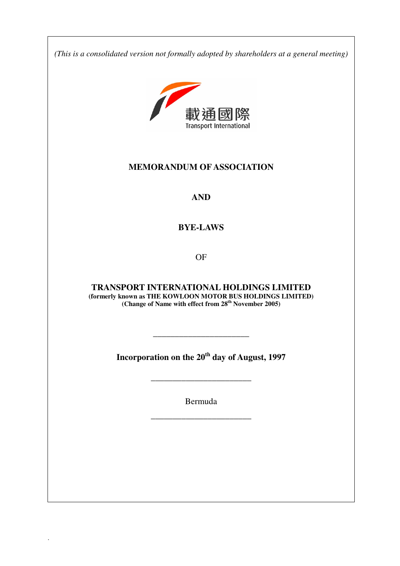**33333333333333333333333333333** *(This is a consolidated version not formally adopted by shareholders at a general meeting)* 



# **MEMORANDUM OF ASSOCIATION**

**AND** 

# **BYE-LAWS**

OF

**TRANSPORT INTERNATIONAL HOLDINGS LIMITED (formerly known as THE KOWLOON MOTOR BUS HOLDINGS LIMITED) (Change of Name with effect from 28th November 2005)** 

**Incorporation on the 20th day of August, 1997** 

\_\_\_\_\_\_\_\_\_\_\_\_\_\_\_\_\_\_\_\_\_\_\_

\_\_\_\_\_\_\_\_\_\_\_\_\_\_\_\_\_\_\_\_\_\_

Bermuda

\_\_\_\_\_\_\_\_\_\_\_\_\_\_\_\_\_\_\_\_\_\_\_

.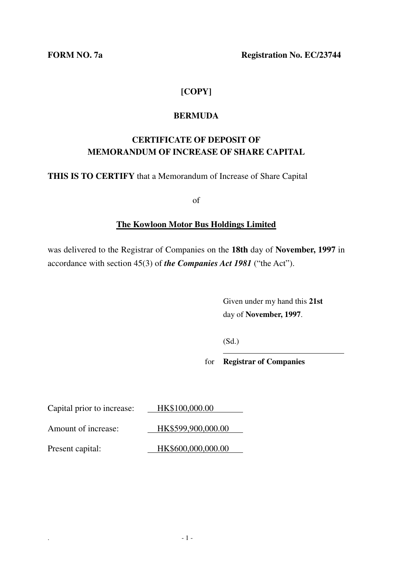**FORM NO. 7a** Registration No. EC/23744

# **[COPY]**

# **BERMUDA**

# **CERTIFICATE OF DEPOSIT OF MEMORANDUM OF INCREASE OF SHARE CAPITAL**

**THIS IS TO CERTIFY** that a Memorandum of Increase of Share Capital

of

# **The Kowloon Motor Bus Holdings Limited**

was delivered to the Registrar of Companies on the **18th** day of **November, 1997** in accordance with section 45(3) of *the Companies Act 1981* ("the Act").

> Given under my hand this **21st** day of **November, 1997**.

(Sd.)  $\overline{a}$ 

for **Registrar of Companies**

Capital prior to increase: HK\$100,000.00 Amount of increase: 1888-1888 18899,900,000.00

Present capital: HK\$600,000,000.00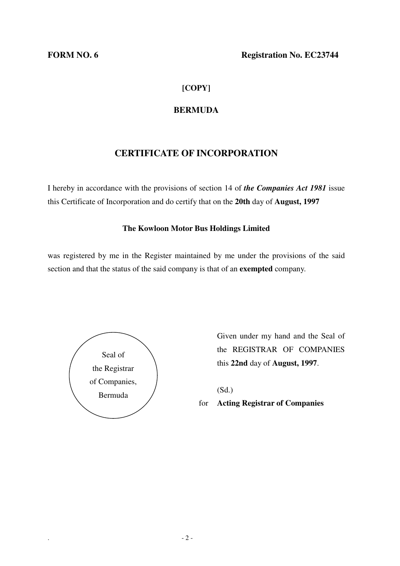# **[COPY]**

# **BERMUDA**

# **CERTIFICATE OF INCORPORATION**

I hereby in accordance with the provisions of section 14 of *the Companies Act 1981* issue this Certificate of Incorporation and do certify that on the **20th** day of **August, 1997** 

### **The Kowloon Motor Bus Holdings Limited**

was registered by me in the Register maintained by me under the provisions of the said section and that the status of the said company is that of an **exempted** company.



Given under my hand and the Seal of the REGISTRAR OF COMPANIES this **22nd** day of **August, 1997**.

(Sd.)

for **Acting Registrar of Companies**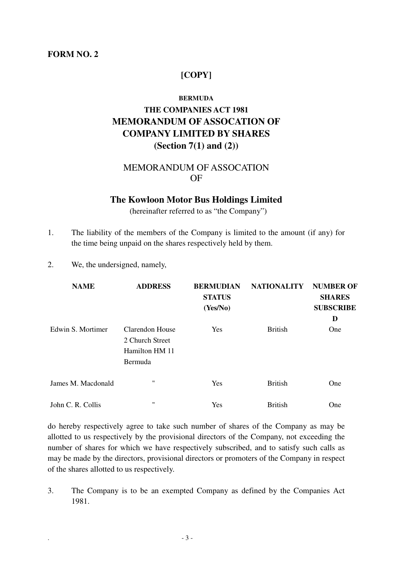### **FORM NO. 2**

### **[COPY]**

#### **BERMUDA**

# **THE COMPANIES ACT 1981 MEMORANDUM OF ASSOCATION OF COMPANY LIMITED BY SHARES (Section 7(1) and (2))**

# MEMORANDUM OF ASSOCATION OF

#### **The Kowloon Motor Bus Holdings Limited**

(hereinafter referred to as "the Company")

- 1. The liability of the members of the Company is limited to the amount (if any) for the time being unpaid on the shares respectively held by them.
- 2. We, the undersigned, namely,

| <b>NAME</b>        | <b>ADDRESS</b>                                                  | <b>BERMUDIAN</b><br><b>STATUS</b><br>(Yes/No) | <b>NATIONALITY</b> | <b>NUMBER OF</b><br><b>SHARES</b><br><b>SUBSCRIBE</b><br>D |
|--------------------|-----------------------------------------------------------------|-----------------------------------------------|--------------------|------------------------------------------------------------|
| Edwin S. Mortimer  | Clarendon House<br>2 Church Street<br>Hamilton HM 11<br>Bermuda | Yes                                           | <b>British</b>     | One                                                        |
| James M. Macdonald | $^{\prime\prime}$                                               | Yes                                           | <b>British</b>     | One                                                        |
| John C. R. Collis  | $^{\prime\prime}$                                               | Yes                                           | <b>British</b>     | One                                                        |

do hereby respectively agree to take such number of shares of the Company as may be allotted to us respectively by the provisional directors of the Company, not exceeding the number of shares for which we have respectively subscribed, and to satisfy such calls as may be made by the directors, provisional directors or promoters of the Company in respect of the shares allotted to us respectively.

3. The Company is to be an exempted Company as defined by the Companies Act 1981.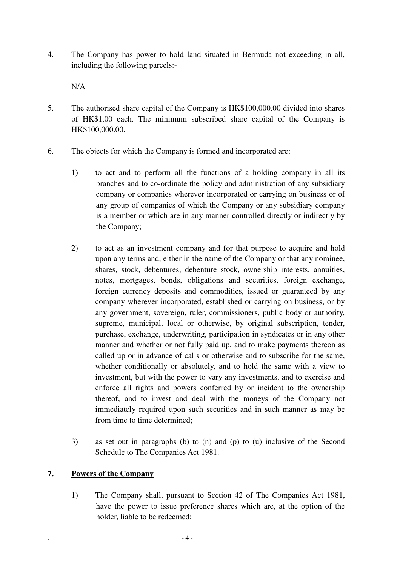4. The Company has power to hold land situated in Bermuda not exceeding in all, including the following parcels:-

N/A

- 5. The authorised share capital of the Company is HK\$100,000.00 divided into shares of HK\$1.00 each. The minimum subscribed share capital of the Company is HK\$100,000.00.
- 6. The objects for which the Company is formed and incorporated are:
	- 1) to act and to perform all the functions of a holding company in all its branches and to co-ordinate the policy and administration of any subsidiary company or companies wherever incorporated or carrying on business or of any group of companies of which the Company or any subsidiary company is a member or which are in any manner controlled directly or indirectly by the Company;
	- 2) to act as an investment company and for that purpose to acquire and hold upon any terms and, either in the name of the Company or that any nominee, shares, stock, debentures, debenture stock, ownership interests, annuities, notes, mortgages, bonds, obligations and securities, foreign exchange, foreign currency deposits and commodities, issued or guaranteed by any company wherever incorporated, established or carrying on business, or by any government, sovereign, ruler, commissioners, public body or authority, supreme, municipal, local or otherwise, by original subscription, tender, purchase, exchange, underwriting, participation in syndicates or in any other manner and whether or not fully paid up, and to make payments thereon as called up or in advance of calls or otherwise and to subscribe for the same, whether conditionally or absolutely, and to hold the same with a view to investment, but with the power to vary any investments, and to exercise and enforce all rights and powers conferred by or incident to the ownership thereof, and to invest and deal with the moneys of the Company not immediately required upon such securities and in such manner as may be from time to time determined;
	- 3) as set out in paragraphs (b) to (n) and (p) to (u) inclusive of the Second Schedule to The Companies Act 1981.

### **7. Powers of the Company**

1) The Company shall, pursuant to Section 42 of The Companies Act 1981, have the power to issue preference shares which are, at the option of the holder, liable to be redeemed;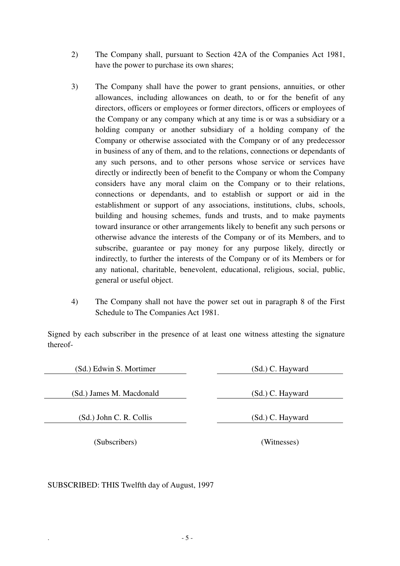- 2) The Company shall, pursuant to Section 42A of the Companies Act 1981, have the power to purchase its own shares;
- 3) The Company shall have the power to grant pensions, annuities, or other allowances, including allowances on death, to or for the benefit of any directors, officers or employees or former directors, officers or employees of the Company or any company which at any time is or was a subsidiary or a holding company or another subsidiary of a holding company of the Company or otherwise associated with the Company or of any predecessor in business of any of them, and to the relations, connections or dependants of any such persons, and to other persons whose service or services have directly or indirectly been of benefit to the Company or whom the Company considers have any moral claim on the Company or to their relations, connections or dependants, and to establish or support or aid in the establishment or support of any associations, institutions, clubs, schools, building and housing schemes, funds and trusts, and to make payments toward insurance or other arrangements likely to benefit any such persons or otherwise advance the interests of the Company or of its Members, and to subscribe, guarantee or pay money for any purpose likely, directly or indirectly, to further the interests of the Company or of its Members or for any national, charitable, benevolent, educational, religious, social, public, general or useful object.
- 4) The Company shall not have the power set out in paragraph 8 of the First Schedule to The Companies Act 1981.

Signed by each subscriber in the presence of at least one witness attesting the signature thereof-

(Sd.) Edwin S. Mortimer (Sd.) C. Hayward

(Sd.) James M. Macdonald (Sd.) C. Hayward

(Sd.) John C. R. Collis (Sd.) C. Hayward

(Subscribers) (Witnesses)

SUBSCRIBED: THIS Twelfth day of August, 1997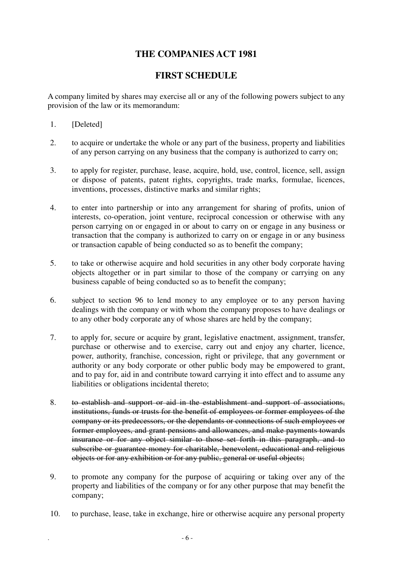# **THE COMPANIES ACT 1981**

# **FIRST SCHEDULE**

A company limited by shares may exercise all or any of the following powers subject to any provision of the law or its memorandum:

- 1. [Deleted]
- 2. to acquire or undertake the whole or any part of the business, property and liabilities of any person carrying on any business that the company is authorized to carry on;
- 3. to apply for register, purchase, lease, acquire, hold, use, control, licence, sell, assign or dispose of patents, patent rights, copyrights, trade marks, formulae, licences, inventions, processes, distinctive marks and similar rights;
- 4. to enter into partnership or into any arrangement for sharing of profits, union of interests, co-operation, joint venture, reciprocal concession or otherwise with any person carrying on or engaged in or about to carry on or engage in any business or transaction that the company is authorized to carry on or engage in or any business or transaction capable of being conducted so as to benefit the company;
- 5. to take or otherwise acquire and hold securities in any other body corporate having objects altogether or in part similar to those of the company or carrying on any business capable of being conducted so as to benefit the company;
- 6. subject to section 96 to lend money to any employee or to any person having dealings with the company or with whom the company proposes to have dealings or to any other body corporate any of whose shares are held by the company;
- 7. to apply for, secure or acquire by grant, legislative enactment, assignment, transfer, purchase or otherwise and to exercise, carry out and enjoy any charter, licence, power, authority, franchise, concession, right or privilege, that any government or authority or any body corporate or other public body may be empowered to grant, and to pay for, aid in and contribute toward carrying it into effect and to assume any liabilities or obligations incidental thereto;
- 8. to establish and support or aid in the establishment and support of associations, institutions, funds or trusts for the benefit of employees or former employees of the company or its predecessors, or the dependants or connections of such employees or former employees, and grant pensions and allowances, and make payments towards insurance or for any object similar to those set forth in this paragraph, and to subscribe or guarantee money for charitable, benevolent, educational and religious objects or for any exhibition or for any public, general or useful objects;
- 9. to promote any company for the purpose of acquiring or taking over any of the property and liabilities of the company or for any other purpose that may benefit the company;
- 10. to purchase, lease, take in exchange, hire or otherwise acquire any personal property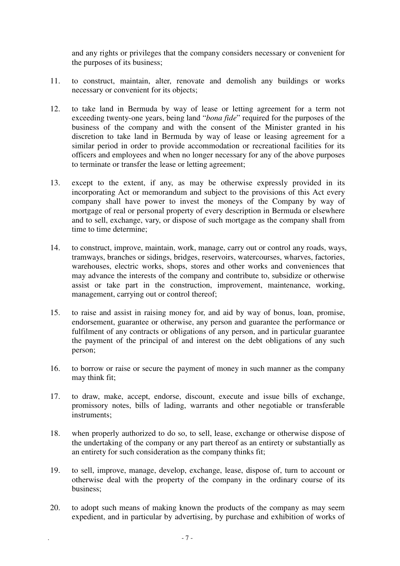and any rights or privileges that the company considers necessary or convenient for the purposes of its business;

- 11. to construct, maintain, alter, renovate and demolish any buildings or works necessary or convenient for its objects;
- 12. to take land in Bermuda by way of lease or letting agreement for a term not exceeding twenty-one years, being land "*bona fide*" required for the purposes of the business of the company and with the consent of the Minister granted in his discretion to take land in Bermuda by way of lease or leasing agreement for a similar period in order to provide accommodation or recreational facilities for its officers and employees and when no longer necessary for any of the above purposes to terminate or transfer the lease or letting agreement;
- 13. except to the extent, if any, as may be otherwise expressly provided in its incorporating Act or memorandum and subject to the provisions of this Act every company shall have power to invest the moneys of the Company by way of mortgage of real or personal property of every description in Bermuda or elsewhere and to sell, exchange, vary, or dispose of such mortgage as the company shall from time to time determine;
- 14. to construct, improve, maintain, work, manage, carry out or control any roads, ways, tramways, branches or sidings, bridges, reservoirs, watercourses, wharves, factories, warehouses, electric works, shops, stores and other works and conveniences that may advance the interests of the company and contribute to, subsidize or otherwise assist or take part in the construction, improvement, maintenance, working, management, carrying out or control thereof;
- 15. to raise and assist in raising money for, and aid by way of bonus, loan, promise, endorsement, guarantee or otherwise, any person and guarantee the performance or fulfilment of any contracts or obligations of any person, and in particular guarantee the payment of the principal of and interest on the debt obligations of any such person;
- 16. to borrow or raise or secure the payment of money in such manner as the company may think fit;
- 17. to draw, make, accept, endorse, discount, execute and issue bills of exchange, promissory notes, bills of lading, warrants and other negotiable or transferable instruments;
- 18. when properly authorized to do so, to sell, lease, exchange or otherwise dispose of the undertaking of the company or any part thereof as an entirety or substantially as an entirety for such consideration as the company thinks fit;
- 19. to sell, improve, manage, develop, exchange, lease, dispose of, turn to account or otherwise deal with the property of the company in the ordinary course of its business;
- 20. to adopt such means of making known the products of the company as may seem expedient, and in particular by advertising, by purchase and exhibition of works of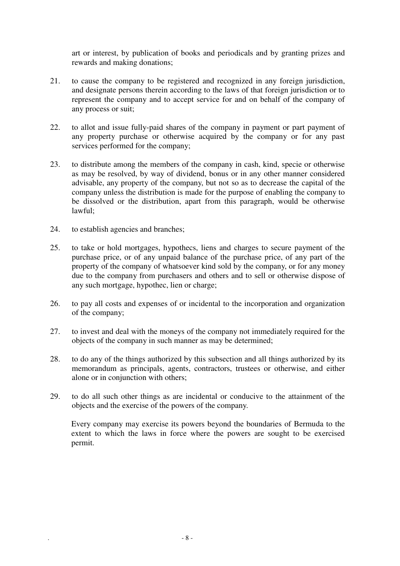art or interest, by publication of books and periodicals and by granting prizes and rewards and making donations;

- 21. to cause the company to be registered and recognized in any foreign jurisdiction, and designate persons therein according to the laws of that foreign jurisdiction or to represent the company and to accept service for and on behalf of the company of any process or suit;
- 22. to allot and issue fully-paid shares of the company in payment or part payment of any property purchase or otherwise acquired by the company or for any past services performed for the company;
- 23. to distribute among the members of the company in cash, kind, specie or otherwise as may be resolved, by way of dividend, bonus or in any other manner considered advisable, any property of the company, but not so as to decrease the capital of the company unless the distribution is made for the purpose of enabling the company to be dissolved or the distribution, apart from this paragraph, would be otherwise lawful;
- 24. to establish agencies and branches;
- 25. to take or hold mortgages, hypothecs, liens and charges to secure payment of the purchase price, or of any unpaid balance of the purchase price, of any part of the property of the company of whatsoever kind sold by the company, or for any money due to the company from purchasers and others and to sell or otherwise dispose of any such mortgage, hypothec, lien or charge;
- 26. to pay all costs and expenses of or incidental to the incorporation and organization of the company;
- 27. to invest and deal with the moneys of the company not immediately required for the objects of the company in such manner as may be determined;
- 28. to do any of the things authorized by this subsection and all things authorized by its memorandum as principals, agents, contractors, trustees or otherwise, and either alone or in conjunction with others;
- 29. to do all such other things as are incidental or conducive to the attainment of the objects and the exercise of the powers of the company.

Every company may exercise its powers beyond the boundaries of Bermuda to the extent to which the laws in force where the powers are sought to be exercised permit.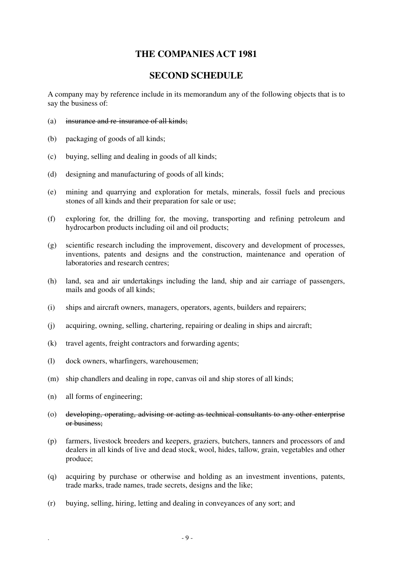# **THE COMPANIES ACT 1981**

# **SECOND SCHEDULE**

A company may by reference include in its memorandum any of the following objects that is to say the business of:

- (a) insurance and re-insurance of all kinds;
- (b) packaging of goods of all kinds;
- (c) buying, selling and dealing in goods of all kinds;
- (d) designing and manufacturing of goods of all kinds;
- (e) mining and quarrying and exploration for metals, minerals, fossil fuels and precious stones of all kinds and their preparation for sale or use;
- (f) exploring for, the drilling for, the moving, transporting and refining petroleum and hydrocarbon products including oil and oil products;
- (g) scientific research including the improvement, discovery and development of processes, inventions, patents and designs and the construction, maintenance and operation of laboratories and research centres;
- (h) land, sea and air undertakings including the land, ship and air carriage of passengers, mails and goods of all kinds;
- (i) ships and aircraft owners, managers, operators, agents, builders and repairers;
- (j) acquiring, owning, selling, chartering, repairing or dealing in ships and aircraft;
- (k) travel agents, freight contractors and forwarding agents;
- (l) dock owners, wharfingers, warehousemen;
- (m) ship chandlers and dealing in rope, canvas oil and ship stores of all kinds;
- (n) all forms of engineering;
- (o) developing, operating, advising or acting as technical consultants to any other enterprise or business;
- (p) farmers, livestock breeders and keepers, graziers, butchers, tanners and processors of and dealers in all kinds of live and dead stock, wool, hides, tallow, grain, vegetables and other produce;
- (q) acquiring by purchase or otherwise and holding as an investment inventions, patents, trade marks, trade names, trade secrets, designs and the like;
- (r) buying, selling, hiring, letting and dealing in conveyances of any sort; and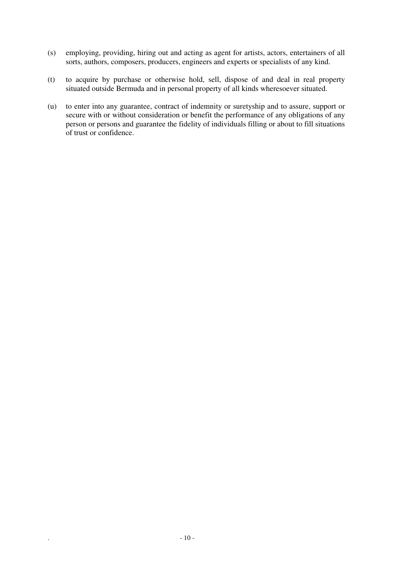- (s) employing, providing, hiring out and acting as agent for artists, actors, entertainers of all sorts, authors, composers, producers, engineers and experts or specialists of any kind.
- (t) to acquire by purchase or otherwise hold, sell, dispose of and deal in real property situated outside Bermuda and in personal property of all kinds wheresoever situated.
- (u) to enter into any guarantee, contract of indemnity or suretyship and to assure, support or secure with or without consideration or benefit the performance of any obligations of any person or persons and guarantee the fidelity of individuals filling or about to fill situations of trust or confidence.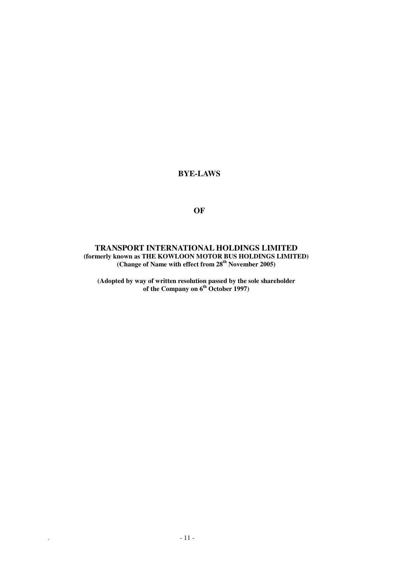### **BYE-LAWS**

**OF** 

#### **TRANSPORT INTERNATIONAL HOLDINGS LIMITED (formerly known as THE KOWLOON MOTOR BUS HOLDINGS LIMITED) (Change of Name with effect from 28th November 2005)**

**(Adopted by way of written resolution passed by the sole shareholder of the Company on 6th October 1997)**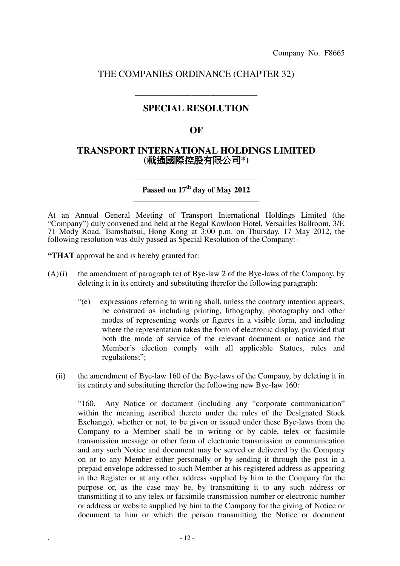### THE COMPANIES ORDINANCE (CHAPTER 32)

**\_\_\_\_\_\_\_\_\_\_\_\_\_\_\_\_\_\_\_\_\_\_\_\_\_\_** 

# **SPECIAL RESOLUTION**

### **OF**

### **TRANSPORT INTERNATIONAL HOLDINGS LIMITED (**載通國際控股有限公司**\*)**

**Passed on 17th day of May 2012 \_\_\_\_\_\_\_\_\_\_\_\_\_\_\_\_\_\_\_\_\_\_\_\_\_\_\_\_\_\_\_\_\_\_** 

\_\_\_\_\_\_\_\_\_\_\_\_\_\_\_\_\_\_\_\_\_\_\_\_\_\_

At an Annual General Meeting of Transport International Holdings Limited (the "Company") duly convened and held at the Regal Kowloon Hotel, Versailles Ballroom, 3/F, 71 Mody Road, Tsimshatsui, Hong Kong at 3:00 p.m. on Thursday, 17 May 2012, the following resolution was duly passed as Special Resolution of the Company:-

**"THAT** approval be and is hereby granted for:

- $(A)(i)$  the amendment of paragraph (e) of Bye-law 2 of the Bye-laws of the Company, by deleting it in its entirety and substituting therefor the following paragraph:
	- "(e) expressions referring to writing shall, unless the contrary intention appears, be construed as including printing, lithography, photography and other modes of representing words or figures in a visible form, and including where the representation takes the form of electronic display, provided that both the mode of service of the relevant document or notice and the Member's election comply with all applicable Statues, rules and regulations;":
	- (ii) the amendment of Bye-law 160 of the Bye-laws of the Company, by deleting it in its entirety and substituting therefor the following new Bye-law 160:

"160. Any Notice or document (including any "corporate communication" within the meaning ascribed thereto under the rules of the Designated Stock Exchange), whether or not, to be given or issued under these Bye-laws from the Company to a Member shall be in writing or by cable, telex or facsimile transmission message or other form of electronic transmission or communication and any such Notice and document may be served or delivered by the Company on or to any Member either personally or by sending it through the post in a prepaid envelope addressed to such Member at his registered address as appearing in the Register or at any other address supplied by him to the Company for the purpose or, as the case may be, by transmitting it to any such address or transmitting it to any telex or facsimile transmission number or electronic number or address or website supplied by him to the Company for the giving of Notice or document to him or which the person transmitting the Notice or document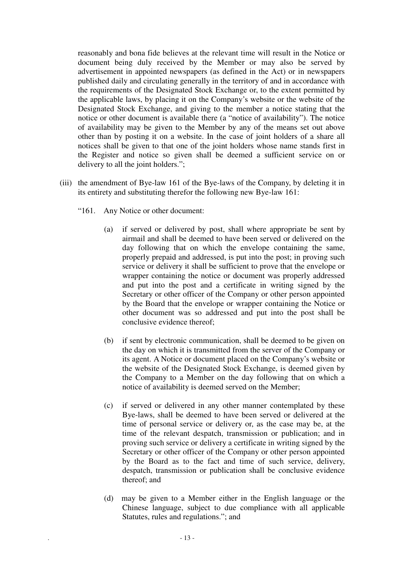reasonably and bona fide believes at the relevant time will result in the Notice or document being duly received by the Member or may also be served by advertisement in appointed newspapers (as defined in the Act) or in newspapers published daily and circulating generally in the territory of and in accordance with the requirements of the Designated Stock Exchange or, to the extent permitted by the applicable laws, by placing it on the Company's website or the website of the Designated Stock Exchange, and giving to the member a notice stating that the notice or other document is available there (a "notice of availability"). The notice of availability may be given to the Member by any of the means set out above other than by posting it on a website. In the case of joint holders of a share all notices shall be given to that one of the joint holders whose name stands first in the Register and notice so given shall be deemed a sufficient service on or delivery to all the joint holders.";

- (iii) the amendment of Bye-law 161 of the Bye-laws of the Company, by deleting it in its entirety and substituting therefor the following new Bye-law 161:
	- "161. Any Notice or other document:
		- (a) if served or delivered by post, shall where appropriate be sent by airmail and shall be deemed to have been served or delivered on the day following that on which the envelope containing the same, properly prepaid and addressed, is put into the post; in proving such service or delivery it shall be sufficient to prove that the envelope or wrapper containing the notice or document was properly addressed and put into the post and a certificate in writing signed by the Secretary or other officer of the Company or other person appointed by the Board that the envelope or wrapper containing the Notice or other document was so addressed and put into the post shall be conclusive evidence thereof;
		- (b) if sent by electronic communication, shall be deemed to be given on the day on which it is transmitted from the server of the Company or its agent. A Notice or document placed on the Company's website or the website of the Designated Stock Exchange, is deemed given by the Company to a Member on the day following that on which a notice of availability is deemed served on the Member;
		- (c) if served or delivered in any other manner contemplated by these Bye-laws, shall be deemed to have been served or delivered at the time of personal service or delivery or, as the case may be, at the time of the relevant despatch, transmission or publication; and in proving such service or delivery a certificate in writing signed by the Secretary or other officer of the Company or other person appointed by the Board as to the fact and time of such service, delivery, despatch, transmission or publication shall be conclusive evidence thereof; and
		- (d) may be given to a Member either in the English language or the Chinese language, subject to due compliance with all applicable Statutes, rules and regulations."; and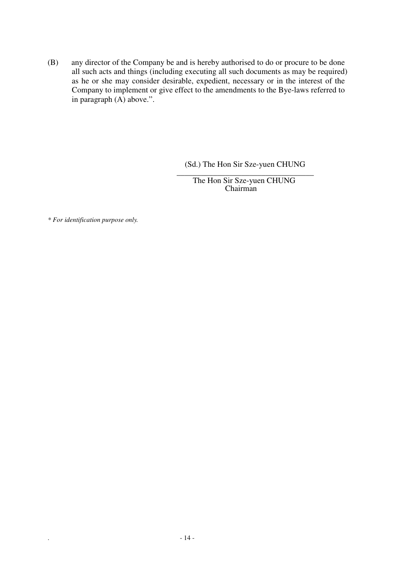(B) any director of the Company be and is hereby authorised to do or procure to be done all such acts and things (including executing all such documents as may be required) as he or she may consider desirable, expedient, necessary or in the interest of the Company to implement or give effect to the amendments to the Bye-laws referred to in paragraph (A) above.".

(Sd.) The Hon Sir Sze-yuen CHUNG

\_\_\_\_\_\_\_\_\_\_\_\_\_\_\_\_\_\_\_\_\_\_\_\_\_\_\_\_\_\_\_\_\_\_ The Hon Sir Sze-yuen CHUNG Chairman

*\* For identification purpose only.*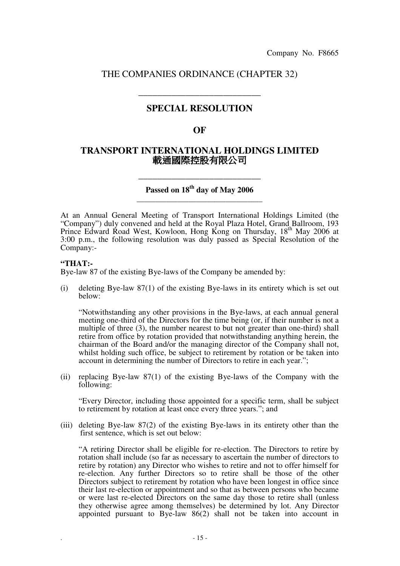# THE COMPANIES ORDINANCE (CHAPTER 32)

# **SPECIAL RESOLUTION**

**\_\_\_\_\_\_\_\_\_\_\_\_\_\_\_\_\_\_\_\_\_\_\_\_\_\_** 

### **OF**

### **TRANSPORT INTERNATIONAL HOLDINGS LIMITED**  載通國際控股有限公司

### **Passed on 18th day of May 2006 \_\_\_\_\_\_\_\_\_\_\_\_\_\_\_\_\_\_\_\_\_\_\_\_\_\_\_\_\_\_\_\_\_\_**

\_\_\_\_\_\_\_\_\_\_\_\_\_\_\_\_\_\_\_\_\_\_\_\_\_\_

At an Annual General Meeting of Transport International Holdings Limited (the "Company") duly convened and held at the Royal Plaza Hotel, Grand Ballroom, 193 Prince Edward Road West, Kowloon, Hong Kong on Thursday, 18<sup>th</sup> May 2006 at 3:00 p.m., the following resolution was duly passed as Special Resolution of the Company:-

#### **"THAT:-**

Bye-law 87 of the existing Bye-laws of the Company be amended by:

(i) deleting Bye-law 87(1) of the existing Bye-laws in its entirety which is set out below:

"Notwithstanding any other provisions in the Bye-laws, at each annual general meeting one-third of the Directors for the time being (or, if their number is not a multiple of three (3), the number nearest to but not greater than one-third) shall retire from office by rotation provided that notwithstanding anything herein, the chairman of the Board and/or the managing director of the Company shall not, whilst holding such office, be subject to retirement by rotation or be taken into account in determining the number of Directors to retire in each year.";

(ii) replacing Bye-law 87(1) of the existing Bye-laws of the Company with the following:

"Every Director, including those appointed for a specific term, shall be subject to retirement by rotation at least once every three years."; and

(iii) deleting Bye-law 87(2) of the existing Bye-laws in its entirety other than the first sentence, which is set out below:

"A retiring Director shall be eligible for re-election. The Directors to retire by rotation shall include (so far as necessary to ascertain the number of directors to retire by rotation) any Director who wishes to retire and not to offer himself for re-election. Any further Directors so to retire shall be those of the other Directors subject to retirement by rotation who have been longest in office since their last re-election or appointment and so that as between persons who became or were last re-elected Directors on the same day those to retire shall (unless they otherwise agree among themselves) be determined by lot. Any Director appointed pursuant to Bye-law 86(2) shall not be taken into account in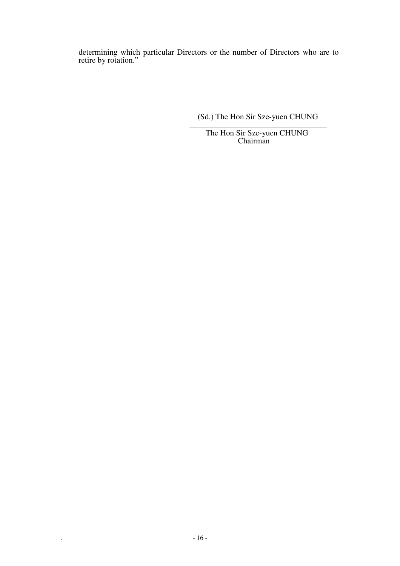determining which particular Directors or the number of Directors who are to retire by rotation."

(Sd.) The Hon Sir Sze-yuen CHUNG

\_\_\_\_\_\_\_\_\_\_\_\_\_\_\_\_\_\_\_\_\_\_\_\_\_\_\_\_\_\_\_\_\_\_ The Hon Sir Sze-yuen CHUNG Chairman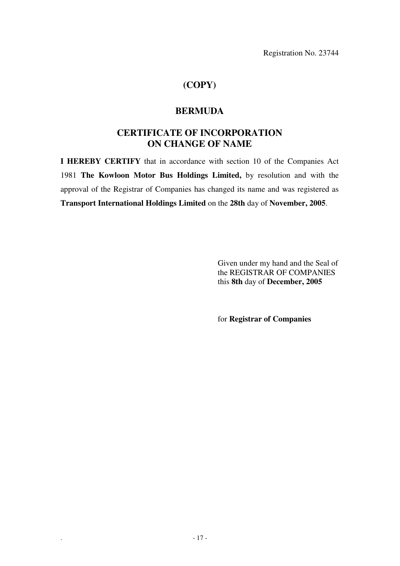Registration No. 23744

# **(COPY)**

# **BERMUDA**

# **CERTIFICATE OF INCORPORATION ON CHANGE OF NAME**

**I HEREBY CERTIFY** that in accordance with section 10 of the Companies Act 1981 **The Kowloon Motor Bus Holdings Limited,** by resolution and with the approval of the Registrar of Companies has changed its name and was registered as **Transport International Holdings Limited** on the **28th** day of **November, 2005**.

> Given under my hand and the Seal of the REGISTRAR OF COMPANIES this **8th** day of **December, 2005**

for **Registrar of Companies**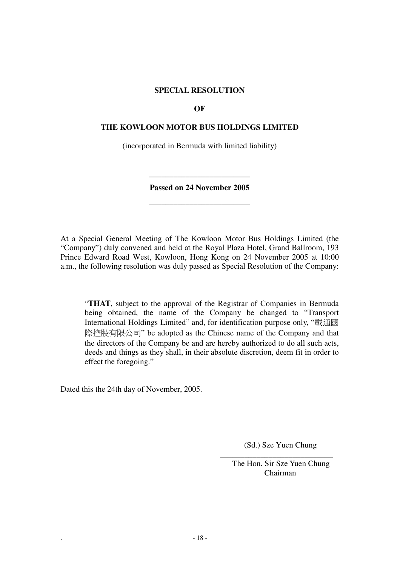#### **SPECIAL RESOLUTION**

#### **OF**

#### **THE KOWLOON MOTOR BUS HOLDINGS LIMITED**

(incorporated in Bermuda with limited liability)

**Passed on 24 November 2005** 

**\_\_\_\_\_\_\_\_\_\_\_\_\_\_\_\_\_\_\_\_\_\_\_\_\_** 

**\_\_\_\_\_\_\_\_\_\_\_\_\_\_\_\_\_\_\_\_\_\_\_\_\_** 

At a Special General Meeting of The Kowloon Motor Bus Holdings Limited (the "Company") duly convened and held at the Royal Plaza Hotel, Grand Ballroom, 193 Prince Edward Road West, Kowloon, Hong Kong on 24 November 2005 at 10:00 a.m., the following resolution was duly passed as Special Resolution of the Company:

"**THAT**, subject to the approval of the Registrar of Companies in Bermuda being obtained, the name of the Company be changed to "Transport International Holdings Limited" and, for identification purpose only, "載通國 際控股有限公司" be adopted as the Chinese name of the Company and that the directors of the Company be and are hereby authorized to do all such acts, deeds and things as they shall, in their absolute discretion, deem fit in order to effect the foregoing."

Dated this the 24th day of November, 2005.

(Sd.) Sze Yuen Chung

 The Hon. Sir Sze Yuen Chung Chairman

 $\overline{\phantom{a}}$  , and the contract of the contract of the contract of the contract of the contract of the contract of the contract of the contract of the contract of the contract of the contract of the contract of the contrac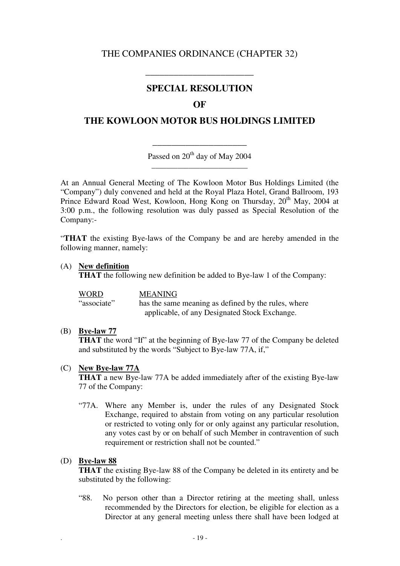# THE COMPANIES ORDINANCE (CHAPTER 32)

# **SPECIAL RESOLUTION**

**\_\_\_\_\_\_\_\_\_\_\_\_\_\_\_\_\_\_\_\_\_\_\_** 

### **OF**

# **THE KOWLOON MOTOR BUS HOLDINGS LIMITED**

Passed on 20<sup>th</sup> day of May 2004 **\_\_\_\_\_\_\_\_\_\_\_\_\_\_\_\_\_\_\_\_\_\_\_\_\_\_** 

\_\_\_\_\_\_\_\_\_\_\_\_\_\_\_\_\_\_\_\_

At an Annual General Meeting of The Kowloon Motor Bus Holdings Limited (the "Company") duly convened and held at the Royal Plaza Hotel, Grand Ballroom, 193 Prince Edward Road West, Kowloon, Hong Kong on Thursday, 20<sup>th</sup> May, 2004 at 3:00 p.m., the following resolution was duly passed as Special Resolution of the Company:-

"**THAT** the existing Bye-laws of the Company be and are hereby amended in the following manner, namely:

#### (A) **New definition**

**THAT** the following new definition be added to Bye-law 1 of the Company:

WORD MEANING "associate" has the same meaning as defined by the rules, where applicable, of any Designated Stock Exchange.

#### (B) **Bye-law 77**

**THAT** the word "If" at the beginning of Bye-law 77 of the Company be deleted and substituted by the words "Subject to Bye-law 77A, if,"

#### (C) **New Bye-law 77A**

**THAT** a new Bye-law 77A be added immediately after of the existing Bye-law 77 of the Company:

"77A. Where any Member is, under the rules of any Designated Stock Exchange, required to abstain from voting on any particular resolution or restricted to voting only for or only against any particular resolution, any votes cast by or on behalf of such Member in contravention of such requirement or restriction shall not be counted."

#### (D) **Bye-law 88**

**THAT** the existing Bye-law 88 of the Company be deleted in its entirety and be substituted by the following:

"88. No person other than a Director retiring at the meeting shall, unless recommended by the Directors for election, be eligible for election as a Director at any general meeting unless there shall have been lodged at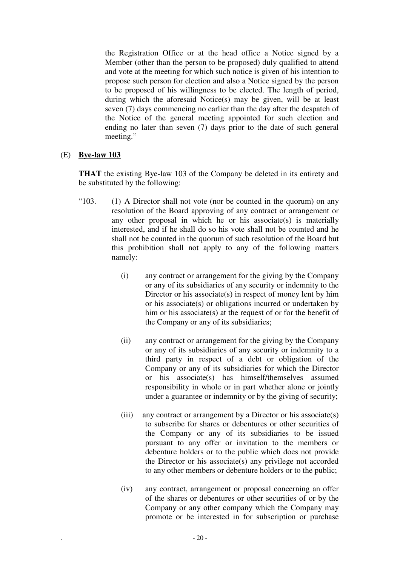the Registration Office or at the head office a Notice signed by a Member (other than the person to be proposed) duly qualified to attend and vote at the meeting for which such notice is given of his intention to propose such person for election and also a Notice signed by the person to be proposed of his willingness to be elected. The length of period, during which the aforesaid Notice(s) may be given, will be at least seven (7) days commencing no earlier than the day after the despatch of the Notice of the general meeting appointed for such election and ending no later than seven (7) days prior to the date of such general meeting."

### (E) **Bye-law 103**

**THAT** the existing Bye-law 103 of the Company be deleted in its entirety and be substituted by the following:

- "103. (1) A Director shall not vote (nor be counted in the quorum) on any resolution of the Board approving of any contract or arrangement or any other proposal in which he or his associate $(s)$  is materially interested, and if he shall do so his vote shall not be counted and he shall not be counted in the quorum of such resolution of the Board but this prohibition shall not apply to any of the following matters namely:
	- (i) any contract or arrangement for the giving by the Company or any of its subsidiaries of any security or indemnity to the Director or his associate(s) in respect of money lent by him or his associate(s) or obligations incurred or undertaken by him or his associate(s) at the request of or for the benefit of the Company or any of its subsidiaries;
	- (ii) any contract or arrangement for the giving by the Company or any of its subsidiaries of any security or indemnity to a third party in respect of a debt or obligation of the Company or any of its subsidiaries for which the Director or his associate(s) has himself/themselves assumed responsibility in whole or in part whether alone or jointly under a guarantee or indemnity or by the giving of security;
	- (iii) any contract or arrangement by a Director or his associate(s) to subscribe for shares or debentures or other securities of the Company or any of its subsidiaries to be issued pursuant to any offer or invitation to the members or debenture holders or to the public which does not provide the Director or his associate(s) any privilege not accorded to any other members or debenture holders or to the public;
	- (iv) any contract, arrangement or proposal concerning an offer of the shares or debentures or other securities of or by the Company or any other company which the Company may promote or be interested in for subscription or purchase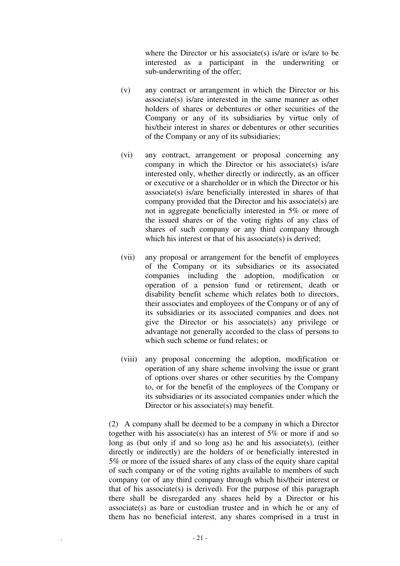where the Director or his associate(s) is/are or is/are to be interested as a participant in the underwriting or sub-underwriting of the offer;

- (v) any contract or arrangement in which the Director or his associate(s) is/are interested in the same manner as other holders of shares or debentures or other securities of the Company or any of its subsidiaries by virtue only of his/their interest in shares or debentures or other securities of the Company or any of its subsidiaries;
- (vi) any contract, arrangement or proposal concerning any company in which the Director or his associate(s) is/are interested only, whether directly or indirectly, as an officer or executive or a shareholder or in which the Director or his associate(s) is/are beneficially interested in shares of that company provided that the Director and his associate(s) are not in aggregate beneficially interested in 5% or more of the issued shares or of the voting rights of any class of shares of such company or any third company through which his interest or that of his associate(s) is derived;
- (vii) any proposal or arrangement for the benefit of employees of the Company or its subsidiaries or its associated companies including the adoption, modification or operation of a pension fund or retirement, death or disability benefit scheme which relates both to directors, their associates and employees of the Company or of any of its subsidiaries or its associated companies and does not give the Director or his associate(s) any privilege or advantage not generally accorded to the class of persons to which such scheme or fund relates; or
- (viii) any proposal concerning the adoption, modification or operation of any share scheme involving the issue or grant of options over shares or other securities by the Company to, or for the benefit of the employees of the Company or its subsidiaries or its associated companies under which the Director or his associate(s) may benefit.

(2) A company shall be deemed to be a company in which a Director together with his associate(s) has an interest of 5% or more if and so long as (but only if and so long as) he and his associate(s), (either directly or indirectly) are the holders of or beneficially interested in 5% or more of the issued shares of any class of the equity share capital of such company or of the voting rights available to members of such company (or of any third company through which his/their interest or that of his associate(s) is derived). For the purpose of this paragraph there shall be disregarded any shares held by a Director or his associate(s) as bare or custodian trustee and in which he or any of them has no beneficial interest, any shares comprised in a trust in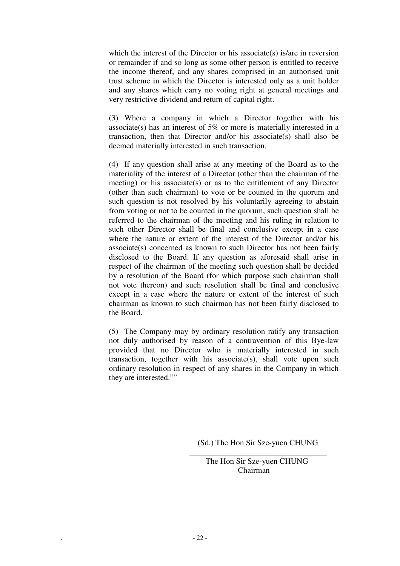which the interest of the Director or his associate(s) is/are in reversion or remainder if and so long as some other person is entitled to receive the income thereof, and any shares comprised in an authorised unit trust scheme in which the Director is interested only as a unit holder and any shares which carry no voting right at general meetings and very restrictive dividend and return of capital right.

(3) Where a company in which a Director together with his associate(s) has an interest of 5% or more is materially interested in a transaction, then that Director and/or his associate(s) shall also be deemed materially interested in such transaction.

(4) If any question shall arise at any meeting of the Board as to the materiality of the interest of a Director (other than the chairman of the meeting) or his associate(s) or as to the entitlement of any Director (other than such chairman) to vote or be counted in the quorum and such question is not resolved by his voluntarily agreeing to abstain from voting or not to be counted in the quorum, such question shall be referred to the chairman of the meeting and his ruling in relation to such other Director shall be final and conclusive except in a case where the nature or extent of the interest of the Director and/or his associate(s) concerned as known to such Director has not been fairly disclosed to the Board. If any question as aforesaid shall arise in respect of the chairman of the meeting such question shall be decided by a resolution of the Board (for which purpose such chairman shall not vote thereon) and such resolution shall be final and conclusive except in a case where the nature or extent of the interest of such chairman as known to such chairman has not been fairly disclosed to the Board.

(5) The Company may by ordinary resolution ratify any transaction not duly authorised by reason of a contravention of this Bye-law provided that no Director who is materially interested in such transaction, together with his associate(s), shall vote upon such ordinary resolution in respect of any shares in the Company in which they are interested.""

> (Sd.) The Hon Sir Sze-yuen CHUNG \_\_\_\_\_\_\_\_\_\_\_\_\_\_\_\_\_\_\_\_\_\_\_\_\_\_\_\_\_\_\_\_\_\_

> > The Hon Sir Sze-yuen CHUNG Chairman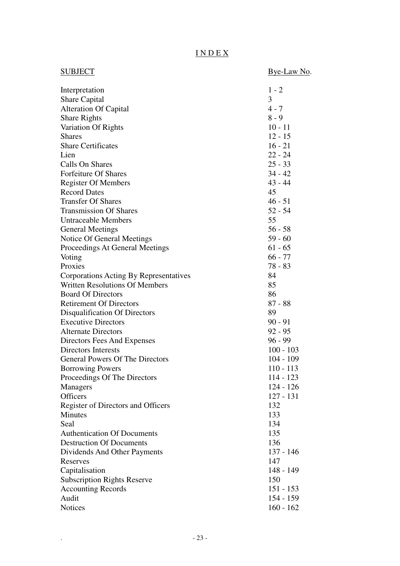# I N D E X

| SUBJECT                                | Bye-Law No. |
|----------------------------------------|-------------|
| Interpretation                         | $1 - 2$     |
| <b>Share Capital</b>                   | 3           |
| <b>Alteration Of Capital</b>           | $4 - 7$     |
| <b>Share Rights</b>                    | $8 - 9$     |
| Variation Of Rights                    | $10 - 11$   |
| <b>Shares</b>                          | $12 - 15$   |
| <b>Share Certificates</b>              | $16 - 21$   |
| Lien                                   | $22 - 24$   |
| Calls On Shares                        | $25 - 33$   |
| <b>Forfeiture Of Shares</b>            | $34 - 42$   |
| <b>Register Of Members</b>             | $43 - 44$   |
| <b>Record Dates</b>                    | 45          |
| <b>Transfer Of Shares</b>              | $46 - 51$   |
| <b>Transmission Of Shares</b>          | $52 - 54$   |
| <b>Untraceable Members</b>             | 55          |
| <b>General Meetings</b>                | $56 - 58$   |
| Notice Of General Meetings             | $59 - 60$   |
| Proceedings At General Meetings        | $61 - 65$   |
| Voting                                 | $66 - 77$   |
| Proxies                                | $78 - 83$   |
| Corporations Acting By Representatives | 84          |
| <b>Written Resolutions Of Members</b>  | 85          |
| <b>Board Of Directors</b>              | 86          |
| <b>Retirement Of Directors</b>         | $87 - 88$   |
| Disqualification Of Directors          | 89          |
| <b>Executive Directors</b>             | $90 - 91$   |
| <b>Alternate Directors</b>             | $92 - 95$   |
| Directors Fees And Expenses            | $96 - 99$   |
| Directors Interests                    | $100 - 103$ |
| <b>General Powers Of The Directors</b> | $104 - 109$ |
| <b>Borrowing Powers</b>                | 110 - 113   |
| Proceedings Of The Directors           | $114 - 123$ |
| <b>Managers</b>                        | $124 - 126$ |
| <b>Officers</b>                        | $127 - 131$ |
| Register of Directors and Officers     | 132         |
| Minutes                                | 133         |
| Seal                                   | 134         |
| <b>Authentication Of Documents</b>     | 135         |
| <b>Destruction Of Documents</b>        | 136         |
| Dividends And Other Payments           | $137 - 146$ |
| Reserves                               | 147         |
| Capitalisation                         | 148 - 149   |
| <b>Subscription Rights Reserve</b>     | 150         |
| <b>Accounting Records</b>              | $151 - 153$ |
| Audit                                  | $154 - 159$ |
| <b>Notices</b>                         | $160 - 162$ |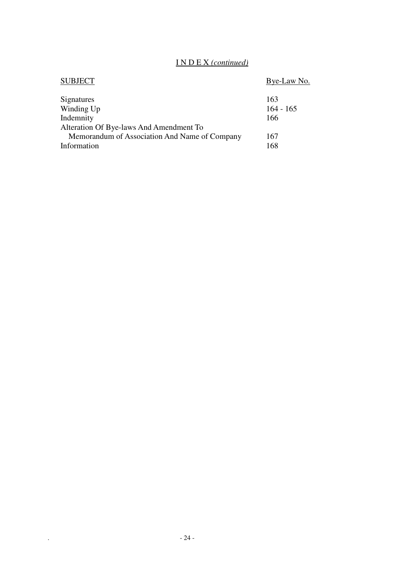### I N D E X *(continued)*

| <b>SUBJECT</b>                                | Bye-Law No. |
|-----------------------------------------------|-------------|
| Signatures                                    | 163         |
| Winding Up                                    | $164 - 165$ |
| Indemnity                                     | 166         |
| Alteration Of Bye-laws And Amendment To       |             |
| Memorandum of Association And Name of Company | 167         |
| Information                                   | 168         |
|                                               |             |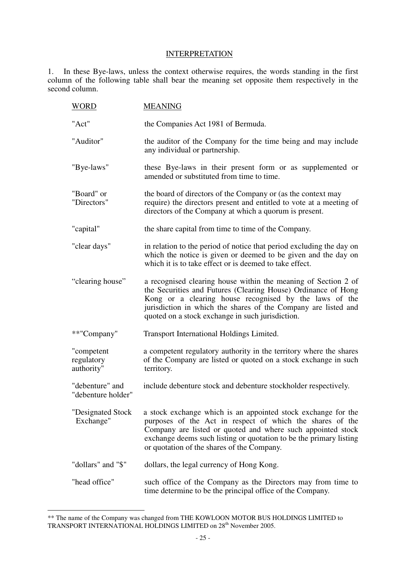#### **INTERPRETATION**

1. In these Bye-laws, unless the context otherwise requires, the words standing in the first column of the following table shall bear the meaning set opposite them respectively in the second column.

| WORD                                   | <b>MEANING</b>                                                                                                                                                                                                                                                                                                  |
|----------------------------------------|-----------------------------------------------------------------------------------------------------------------------------------------------------------------------------------------------------------------------------------------------------------------------------------------------------------------|
| "Act"                                  | the Companies Act 1981 of Bermuda.                                                                                                                                                                                                                                                                              |
| "Auditor"                              | the auditor of the Company for the time being and may include<br>any individual or partnership.                                                                                                                                                                                                                 |
| "Bye-laws"                             | these Bye-laws in their present form or as supplemented or<br>amended or substituted from time to time.                                                                                                                                                                                                         |
| "Board" or<br>"Directors"              | the board of directors of the Company or (as the context may<br>require) the directors present and entitled to vote at a meeting of<br>directors of the Company at which a quorum is present.                                                                                                                   |
| "capital"                              | the share capital from time to time of the Company.                                                                                                                                                                                                                                                             |
| "clear days"                           | in relation to the period of notice that period excluding the day on<br>which the notice is given or deemed to be given and the day on<br>which it is to take effect or is deemed to take effect.                                                                                                               |
| "clearing house"                       | a recognised clearing house within the meaning of Section 2 of<br>the Securities and Futures (Clearing House) Ordinance of Hong<br>Kong or a clearing house recognised by the laws of the<br>jurisdiction in which the shares of the Company are listed and<br>quoted on a stock exchange in such jurisdiction. |
| **"Company"                            | Transport International Holdings Limited.                                                                                                                                                                                                                                                                       |
| "competent<br>regulatory<br>authority" | a competent regulatory authority in the territory where the shares<br>of the Company are listed or quoted on a stock exchange in such<br>territory.                                                                                                                                                             |
| "debenture" and<br>"debenture holder"  | include debenture stock and debenture stockholder respectively.                                                                                                                                                                                                                                                 |
| "Designated Stock<br>Exchange"         | a stock exchange which is an appointed stock exchange for the<br>purposes of the Act in respect of which the shares of the<br>Company are listed or quoted and where such appointed stock<br>exchange deems such listing or quotation to be the primary listing<br>or quotation of the shares of the Company.   |
| "dollars" and "\$"                     | dollars, the legal currency of Hong Kong.                                                                                                                                                                                                                                                                       |
| "head office"                          | such office of the Company as the Directors may from time to<br>time determine to be the principal office of the Company.                                                                                                                                                                                       |

 $\overline{a}$ \*\* The name of the Company was changed from THE KOWLOON MOTOR BUS HOLDINGS LIMITED to TRANSPORT INTERNATIONAL HOLDINGS LIMITED on 28th November 2005.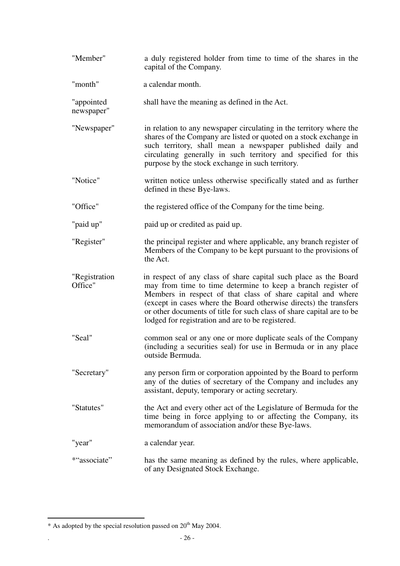| "Member"                 | a duly registered holder from time to time of the shares in the<br>capital of the Company.                                                                                                                                                                                                                                                                                                         |
|--------------------------|----------------------------------------------------------------------------------------------------------------------------------------------------------------------------------------------------------------------------------------------------------------------------------------------------------------------------------------------------------------------------------------------------|
| "month"                  | a calendar month.                                                                                                                                                                                                                                                                                                                                                                                  |
| "appointed<br>newspaper" | shall have the meaning as defined in the Act.                                                                                                                                                                                                                                                                                                                                                      |
| "Newspaper"              | in relation to any newspaper circulating in the territory where the<br>shares of the Company are listed or quoted on a stock exchange in<br>such territory, shall mean a newspaper published daily and<br>circulating generally in such territory and specified for this<br>purpose by the stock exchange in such territory.                                                                       |
| "Notice"                 | written notice unless otherwise specifically stated and as further<br>defined in these Bye-laws.                                                                                                                                                                                                                                                                                                   |
| "Office"                 | the registered office of the Company for the time being.                                                                                                                                                                                                                                                                                                                                           |
| "paid up"                | paid up or credited as paid up.                                                                                                                                                                                                                                                                                                                                                                    |
| "Register"               | the principal register and where applicable, any branch register of<br>Members of the Company to be kept pursuant to the provisions of<br>the Act.                                                                                                                                                                                                                                                 |
| "Registration<br>Office" | in respect of any class of share capital such place as the Board<br>may from time to time determine to keep a branch register of<br>Members in respect of that class of share capital and where<br>(except in cases where the Board otherwise directs) the transfers<br>or other documents of title for such class of share capital are to be<br>lodged for registration and are to be registered. |
| "Seal"                   | common seal or any one or more duplicate seals of the Company<br>(including a securities seal) for use in Bermuda or in any place<br>outside Bermuda.                                                                                                                                                                                                                                              |
| "Secretary"              | any person firm or corporation appointed by the Board to perform<br>any of the duties of secretary of the Company and includes any<br>assistant, deputy, temporary or acting secretary.                                                                                                                                                                                                            |
| "Statutes"               | the Act and every other act of the Legislature of Bermuda for the<br>time being in force applying to or affecting the Company, its<br>memorandum of association and/or these Bye-laws.                                                                                                                                                                                                             |
| "year"                   | a calendar year.                                                                                                                                                                                                                                                                                                                                                                                   |
| *"associate"             | has the same meaning as defined by the rules, where applicable,<br>of any Designated Stock Exchange.                                                                                                                                                                                                                                                                                               |

 $\overline{a}$ 

 $*$  As adopted by the special resolution passed on  $20<sup>th</sup>$  May 2004.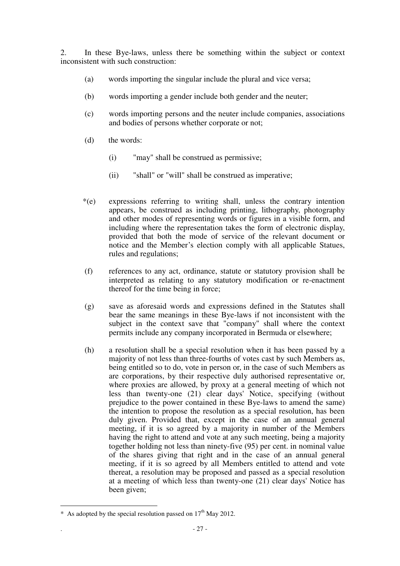2. In these Bye-laws, unless there be something within the subject or context inconsistent with such construction:

- (a) words importing the singular include the plural and vice versa;
- (b) words importing a gender include both gender and the neuter;
- (c) words importing persons and the neuter include companies, associations and bodies of persons whether corporate or not;
- (d) the words:
	- (i) "may" shall be construed as permissive;
	- (ii) "shall" or "will" shall be construed as imperative;
- \*(e) expressions referring to writing shall, unless the contrary intention appears, be construed as including printing, lithography, photography and other modes of representing words or figures in a visible form, and including where the representation takes the form of electronic display, provided that both the mode of service of the relevant document or notice and the Member's election comply with all applicable Statues, rules and regulations;
- (f) references to any act, ordinance, statute or statutory provision shall be interpreted as relating to any statutory modification or re-enactment thereof for the time being in force;
- (g) save as aforesaid words and expressions defined in the Statutes shall bear the same meanings in these Bye-laws if not inconsistent with the subject in the context save that "company" shall where the context permits include any company incorporated in Bermuda or elsewhere;
- (h) a resolution shall be a special resolution when it has been passed by a majority of not less than three-fourths of votes cast by such Members as, being entitled so to do, vote in person or, in the case of such Members as are corporations, by their respective duly authorised representative or, where proxies are allowed, by proxy at a general meeting of which not less than twenty-one (21) clear days' Notice, specifying (without prejudice to the power contained in these Bye-laws to amend the same) the intention to propose the resolution as a special resolution, has been duly given. Provided that, except in the case of an annual general meeting, if it is so agreed by a majority in number of the Members having the right to attend and vote at any such meeting, being a majority together holding not less than ninety-five (95) per cent. in nominal value of the shares giving that right and in the case of an annual general meeting, if it is so agreed by all Members entitled to attend and vote thereat, a resolution may be proposed and passed as a special resolution at a meeting of which less than twenty-one (21) clear days' Notice has been given;

 $\overline{a}$ \* As adopted by the special resolution passed on  $17<sup>th</sup>$  May 2012.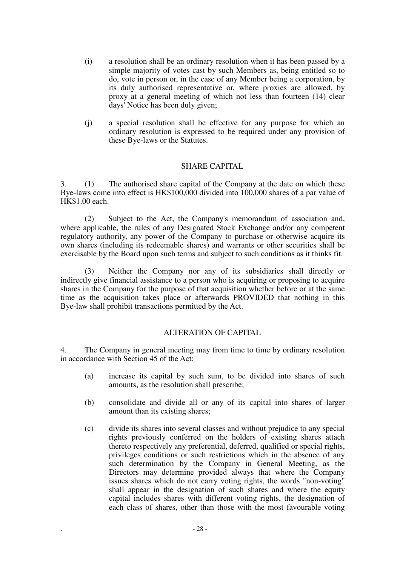- (i) a resolution shall be an ordinary resolution when it has been passed by a simple majority of votes cast by such Members as, being entitled so to do, vote in person or, in the case of any Member being a corporation, by its duly authorised representative or, where proxies are allowed, by proxy at a general meeting of which not less than fourteen (14) clear days' Notice has been duly given;
- (j) a special resolution shall be effective for any purpose for which an ordinary resolution is expressed to be required under any provision of these Bye-laws or the Statutes.

#### SHARE CAPITAL

3. (1) The authorised share capital of the Company at the date on which these Bye-laws come into effect is HK\$100,000 divided into 100,000 shares of a par value of HK\$1.00 each.

(2) Subject to the Act, the Company's memorandum of association and, where applicable, the rules of any Designated Stock Exchange and/or any competent regulatory authority, any power of the Company to purchase or otherwise acquire its own shares (including its redeemable shares) and warrants or other securities shall be exercisable by the Board upon such terms and subject to such conditions as it thinks fit.

(3) Neither the Company nor any of its subsidiaries shall directly or indirectly give financial assistance to a person who is acquiring or proposing to acquire shares in the Company for the purpose of that acquisition whether before or at the same time as the acquisition takes place or afterwards PROVIDED that nothing in this Bye-law shall prohibit transactions permitted by the Act.

#### ALTERATION OF CAPITAL

4. The Company in general meeting may from time to time by ordinary resolution in accordance with Section 45 of the Act:

- (a) increase its capital by such sum, to be divided into shares of such amounts, as the resolution shall prescribe;
- (b) consolidate and divide all or any of its capital into shares of larger amount than its existing shares;
- (c) divide its shares into several classes and without prejudice to any special rights previously conferred on the holders of existing shares attach thereto respectively any preferential, deferred, qualified or special rights, privileges conditions or such restrictions which in the absence of any such determination by the Company in General Meeting, as the Directors may determine provided always that where the Company issues shares which do not carry voting rights, the words "non-voting" shall appear in the designation of such shares and where the equity capital includes shares with different voting rights, the designation of each class of shares, other than those with the most favourable voting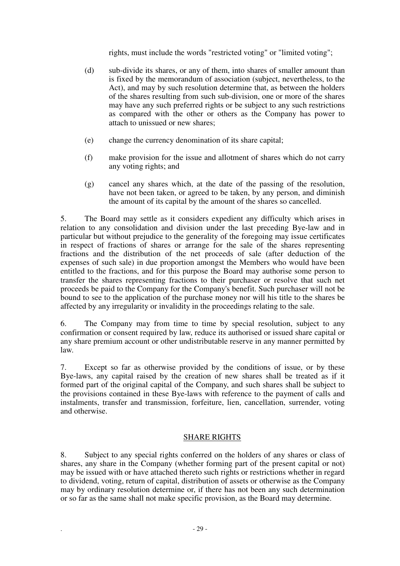rights, must include the words "restricted voting" or "limited voting";

- (d) sub-divide its shares, or any of them, into shares of smaller amount than is fixed by the memorandum of association (subject, nevertheless, to the Act), and may by such resolution determine that, as between the holders of the shares resulting from such sub-division, one or more of the shares may have any such preferred rights or be subject to any such restrictions as compared with the other or others as the Company has power to attach to unissued or new shares;
- (e) change the currency denomination of its share capital;
- (f) make provision for the issue and allotment of shares which do not carry any voting rights; and
- (g) cancel any shares which, at the date of the passing of the resolution, have not been taken, or agreed to be taken, by any person, and diminish the amount of its capital by the amount of the shares so cancelled.

5. The Board may settle as it considers expedient any difficulty which arises in relation to any consolidation and division under the last preceding Bye-law and in particular but without prejudice to the generality of the foregoing may issue certificates in respect of fractions of shares or arrange for the sale of the shares representing fractions and the distribution of the net proceeds of sale (after deduction of the expenses of such sale) in due proportion amongst the Members who would have been entitled to the fractions, and for this purpose the Board may authorise some person to transfer the shares representing fractions to their purchaser or resolve that such net proceeds be paid to the Company for the Company's benefit. Such purchaser will not be bound to see to the application of the purchase money nor will his title to the shares be affected by any irregularity or invalidity in the proceedings relating to the sale.

6. The Company may from time to time by special resolution, subject to any confirmation or consent required by law, reduce its authorised or issued share capital or any share premium account or other undistributable reserve in any manner permitted by law.

7. Except so far as otherwise provided by the conditions of issue, or by these Bye-laws, any capital raised by the creation of new shares shall be treated as if it formed part of the original capital of the Company, and such shares shall be subject to the provisions contained in these Bye-laws with reference to the payment of calls and instalments, transfer and transmission, forfeiture, lien, cancellation, surrender, voting and otherwise.

### SHARE RIGHTS

8. Subject to any special rights conferred on the holders of any shares or class of shares, any share in the Company (whether forming part of the present capital or not) may be issued with or have attached thereto such rights or restrictions whether in regard to dividend, voting, return of capital, distribution of assets or otherwise as the Company may by ordinary resolution determine or, if there has not been any such determination or so far as the same shall not make specific provision, as the Board may determine.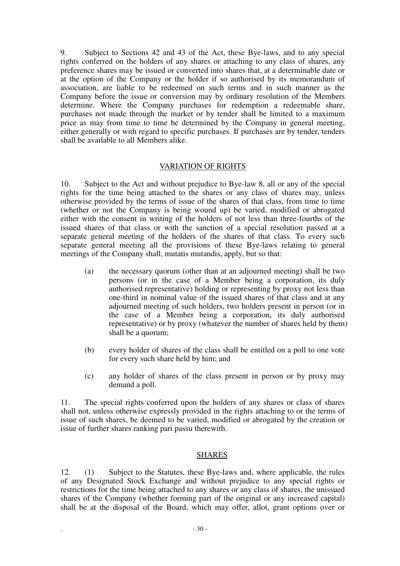9. Subject to Sections 42 and 43 of the Act, these Bye-laws, and to any special rights conferred on the holders of any shares or attaching to any class of shares, any preference shares may be issued or converted into shares that, at a determinable date or at the option of the Company or the holder if so authorised by its memorandum of association, are liable to be redeemed on such terms and in such manner as the Company before the issue or conversion may by ordinary resolution of the Members determine. Where the Company purchases for redemption a redeemable share, purchases not made through the market or by tender shall be limited to a maximum price as may from time to time be determined by the Company in general meeting, either generally or with regard to specific purchases. If purchases are by tender, tenders shall be available to all Members alike.

#### VARIATION OF RIGHTS

10. Subject to the Act and without prejudice to Bye-law 8, all or any of the special rights for the time being attached to the shares or any class of shares may, unless otherwise provided by the terms of issue of the shares of that class, from time to time (whether or not the Company is being wound up) be varied, modified or abrogated either with the consent in writing of the holders of not less than three-fourths of the issued shares of that class or with the sanction of a special resolution passed at a separate general meeting of the holders of the shares of that class. To every such separate general meeting all the provisions of these Bye-laws relating to general meetings of the Company shall, mutatis mutandis, apply, but so that:

- (a) the necessary quorum (other than at an adjourned meeting) shall be two persons (or in the case of a Member being a corporation, its duly authorised representative) holding or representing by proxy not less than one-third in nominal value of the issued shares of that class and at any adjourned meeting of such holders, two holders present in person (or in the case of a Member being a corporation, its duly authorised representative) or by proxy (whatever the number of shares held by them) shall be a quorum;
- (b) every holder of shares of the class shall be entitled on a poll to one vote for every such share held by him; and
- (c) any holder of shares of the class present in person or by proxy may demand a poll.

11. The special rights conferred upon the holders of any shares or class of shares shall not, unless otherwise expressly provided in the rights attaching to or the terms of issue of such shares, be deemed to be varied, modified or abrogated by the creation or issue of further shares ranking pari passu therewith.

#### SHARES

12. (1) Subject to the Statutes, these Bye-laws and, where applicable, the rules of any Designated Stock Exchange and without prejudice to any special rights or restrictions for the time being attached to any shares or any class of shares, the unissued shares of the Company (whether forming part of the original or any increased capital) shall be at the disposal of the Board, which may offer, allot, grant options over or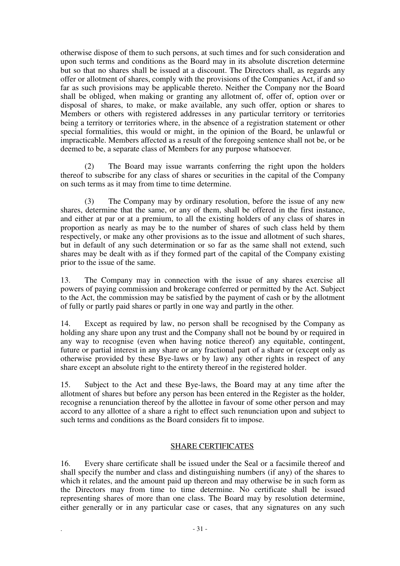otherwise dispose of them to such persons, at such times and for such consideration and upon such terms and conditions as the Board may in its absolute discretion determine but so that no shares shall be issued at a discount. The Directors shall, as regards any offer or allotment of shares, comply with the provisions of the Companies Act, if and so far as such provisions may be applicable thereto. Neither the Company nor the Board shall be obliged, when making or granting any allotment of, offer of, option over or disposal of shares, to make, or make available, any such offer, option or shares to Members or others with registered addresses in any particular territory or territories being a territory or territories where, in the absence of a registration statement or other special formalities, this would or might, in the opinion of the Board, be unlawful or impracticable. Members affected as a result of the foregoing sentence shall not be, or be deemed to be, a separate class of Members for any purpose whatsoever.

(2) The Board may issue warrants conferring the right upon the holders thereof to subscribe for any class of shares or securities in the capital of the Company on such terms as it may from time to time determine.

(3) The Company may by ordinary resolution, before the issue of any new shares, determine that the same, or any of them, shall be offered in the first instance, and either at par or at a premium, to all the existing holders of any class of shares in proportion as nearly as may be to the number of shares of such class held by them respectively, or make any other provisions as to the issue and allotment of such shares, but in default of any such determination or so far as the same shall not extend, such shares may be dealt with as if they formed part of the capital of the Company existing prior to the issue of the same.

13. The Company may in connection with the issue of any shares exercise all powers of paying commission and brokerage conferred or permitted by the Act. Subject to the Act, the commission may be satisfied by the payment of cash or by the allotment of fully or partly paid shares or partly in one way and partly in the other.

14. Except as required by law, no person shall be recognised by the Company as holding any share upon any trust and the Company shall not be bound by or required in any way to recognise (even when having notice thereof) any equitable, contingent, future or partial interest in any share or any fractional part of a share or (except only as otherwise provided by these Bye-laws or by law) any other rights in respect of any share except an absolute right to the entirety thereof in the registered holder.

15. Subject to the Act and these Bye-laws, the Board may at any time after the allotment of shares but before any person has been entered in the Register as the holder, recognise a renunciation thereof by the allottee in favour of some other person and may accord to any allottee of a share a right to effect such renunciation upon and subject to such terms and conditions as the Board considers fit to impose.

### SHARE CERTIFICATES

16. Every share certificate shall be issued under the Seal or a facsimile thereof and shall specify the number and class and distinguishing numbers (if any) of the shares to which it relates, and the amount paid up thereon and may otherwise be in such form as the Directors may from time to time determine. No certificate shall be issued representing shares of more than one class. The Board may by resolution determine, either generally or in any particular case or cases, that any signatures on any such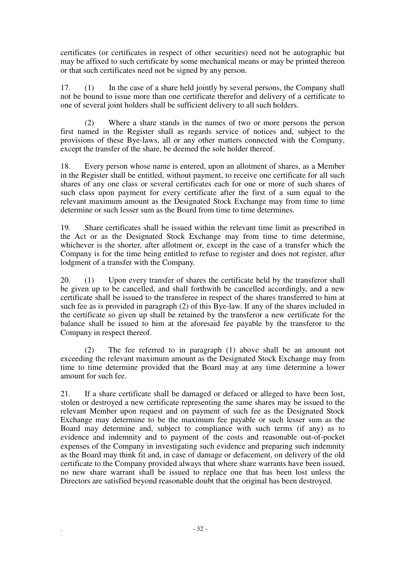certificates (or certificates in respect of other securities) need not be autographic but may be affixed to such certificate by some mechanical means or may be printed thereon or that such certificates need not be signed by any person.

17. (1) In the case of a share held jointly by several persons, the Company shall not be bound to issue more than one certificate therefor and delivery of a certificate to one of several joint holders shall be sufficient delivery to all such holders.

(2) Where a share stands in the names of two or more persons the person first named in the Register shall as regards service of notices and, subject to the provisions of these Bye-laws, all or any other matters connected with the Company, except the transfer of the share, be deemed the sole holder thereof.

18. Every person whose name is entered, upon an allotment of shares, as a Member in the Register shall be entitled, without payment, to receive one certificate for all such shares of any one class or several certificates each for one or more of such shares of such class upon payment for every certificate after the first of a sum equal to the relevant maximum amount as the Designated Stock Exchange may from time to time determine or such lesser sum as the Board from time to time determines.

19. Share certificates shall be issued within the relevant time limit as prescribed in the Act or as the Designated Stock Exchange may from time to time determine, whichever is the shorter, after allotment or, except in the case of a transfer which the Company is for the time being entitled to refuse to register and does not register, after lodgment of a transfer with the Company.

20. (1) Upon every transfer of shares the certificate held by the transferor shall be given up to be cancelled, and shall forthwith be cancelled accordingly, and a new certificate shall be issued to the transferee in respect of the shares transferred to him at such fee as is provided in paragraph (2) of this Bye-law. If any of the shares included in the certificate so given up shall be retained by the transferor a new certificate for the balance shall be issued to him at the aforesaid fee payable by the transferor to the Company in respect thereof.

(2) The fee referred to in paragraph (1) above shall be an amount not exceeding the relevant maximum amount as the Designated Stock Exchange may from time to time determine provided that the Board may at any time determine a lower amount for such fee.

21. If a share certificate shall be damaged or defaced or alleged to have been lost, stolen or destroyed a new certificate representing the same shares may be issued to the relevant Member upon request and on payment of such fee as the Designated Stock Exchange may determine to be the maximum fee payable or such lesser sum as the Board may determine and, subject to compliance with such terms (if any) as to evidence and indemnity and to payment of the costs and reasonable out-of-pocket expenses of the Company in investigating such evidence and preparing such indemnity as the Board may think fit and, in case of damage or defacement, on delivery of the old certificate to the Company provided always that where share warrants have been issued, no new share warrant shall be issued to replace one that has been lost unless the Directors are satisfied beyond reasonable doubt that the original has been destroyed.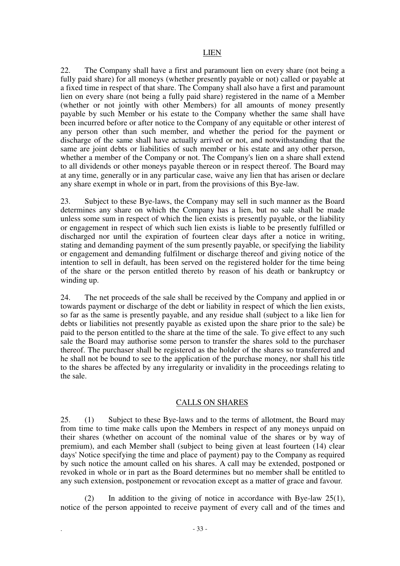#### LIEN

22. The Company shall have a first and paramount lien on every share (not being a fully paid share) for all moneys (whether presently payable or not) called or payable at a fixed time in respect of that share. The Company shall also have a first and paramount lien on every share (not being a fully paid share) registered in the name of a Member (whether or not jointly with other Members) for all amounts of money presently payable by such Member or his estate to the Company whether the same shall have been incurred before or after notice to the Company of any equitable or other interest of any person other than such member, and whether the period for the payment or discharge of the same shall have actually arrived or not, and notwithstanding that the same are joint debts or liabilities of such member or his estate and any other person, whether a member of the Company or not. The Company's lien on a share shall extend to all dividends or other moneys payable thereon or in respect thereof. The Board may at any time, generally or in any particular case, waive any lien that has arisen or declare any share exempt in whole or in part, from the provisions of this Bye-law.

23. Subject to these Bye-laws, the Company may sell in such manner as the Board determines any share on which the Company has a lien, but no sale shall be made unless some sum in respect of which the lien exists is presently payable, or the liability or engagement in respect of which such lien exists is liable to be presently fulfilled or discharged nor until the expiration of fourteen clear days after a notice in writing, stating and demanding payment of the sum presently payable, or specifying the liability or engagement and demanding fulfilment or discharge thereof and giving notice of the intention to sell in default, has been served on the registered holder for the time being of the share or the person entitled thereto by reason of his death or bankruptcy or winding up.

24. The net proceeds of the sale shall be received by the Company and applied in or towards payment or discharge of the debt or liability in respect of which the lien exists, so far as the same is presently payable, and any residue shall (subject to a like lien for debts or liabilities not presently payable as existed upon the share prior to the sale) be paid to the person entitled to the share at the time of the sale. To give effect to any such sale the Board may authorise some person to transfer the shares sold to the purchaser thereof. The purchaser shall be registered as the holder of the shares so transferred and he shall not be bound to see to the application of the purchase money, nor shall his title to the shares be affected by any irregularity or invalidity in the proceedings relating to the sale.

#### CALLS ON SHARES

25. (1) Subject to these Bye-laws and to the terms of allotment, the Board may from time to time make calls upon the Members in respect of any moneys unpaid on their shares (whether on account of the nominal value of the shares or by way of premium), and each Member shall (subject to being given at least fourteen (14) clear days' Notice specifying the time and place of payment) pay to the Company as required by such notice the amount called on his shares. A call may be extended, postponed or revoked in whole or in part as the Board determines but no member shall be entitled to any such extension, postponement or revocation except as a matter of grace and favour.

(2) In addition to the giving of notice in accordance with Bye-law  $25(1)$ , notice of the person appointed to receive payment of every call and of the times and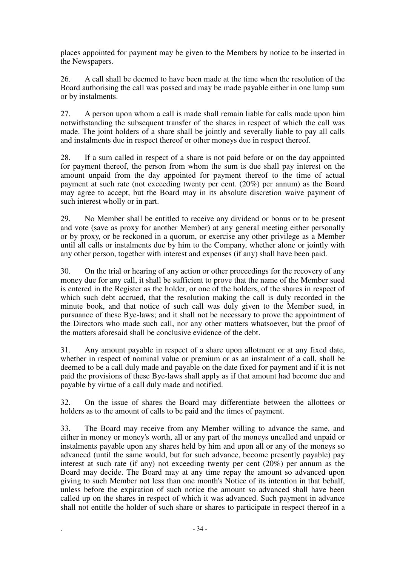places appointed for payment may be given to the Members by notice to be inserted in the Newspapers.

26. A call shall be deemed to have been made at the time when the resolution of the Board authorising the call was passed and may be made payable either in one lump sum or by instalments.

27. A person upon whom a call is made shall remain liable for calls made upon him notwithstanding the subsequent transfer of the shares in respect of which the call was made. The joint holders of a share shall be jointly and severally liable to pay all calls and instalments due in respect thereof or other moneys due in respect thereof.

28. If a sum called in respect of a share is not paid before or on the day appointed for payment thereof, the person from whom the sum is due shall pay interest on the amount unpaid from the day appointed for payment thereof to the time of actual payment at such rate (not exceeding twenty per cent. (20%) per annum) as the Board may agree to accept, but the Board may in its absolute discretion waive payment of such interest wholly or in part.

29. No Member shall be entitled to receive any dividend or bonus or to be present and vote (save as proxy for another Member) at any general meeting either personally or by proxy, or be reckoned in a quorum, or exercise any other privilege as a Member until all calls or instalments due by him to the Company, whether alone or jointly with any other person, together with interest and expenses (if any) shall have been paid.

30. On the trial or hearing of any action or other proceedings for the recovery of any money due for any call, it shall be sufficient to prove that the name of the Member sued is entered in the Register as the holder, or one of the holders, of the shares in respect of which such debt accrued, that the resolution making the call is duly recorded in the minute book, and that notice of such call was duly given to the Member sued, in pursuance of these Bye-laws; and it shall not be necessary to prove the appointment of the Directors who made such call, nor any other matters whatsoever, but the proof of the matters aforesaid shall be conclusive evidence of the debt.

31. Any amount payable in respect of a share upon allotment or at any fixed date, whether in respect of nominal value or premium or as an instalment of a call, shall be deemed to be a call duly made and payable on the date fixed for payment and if it is not paid the provisions of these Bye-laws shall apply as if that amount had become due and payable by virtue of a call duly made and notified.

32. On the issue of shares the Board may differentiate between the allottees or holders as to the amount of calls to be paid and the times of payment.

33. The Board may receive from any Member willing to advance the same, and either in money or money's worth, all or any part of the moneys uncalled and unpaid or instalments payable upon any shares held by him and upon all or any of the moneys so advanced (until the same would, but for such advance, become presently payable) pay interest at such rate (if any) not exceeding twenty per cent (20%) per annum as the Board may decide. The Board may at any time repay the amount so advanced upon giving to such Member not less than one month's Notice of its intention in that behalf, unless before the expiration of such notice the amount so advanced shall have been called up on the shares in respect of which it was advanced. Such payment in advance shall not entitle the holder of such share or shares to participate in respect thereof in a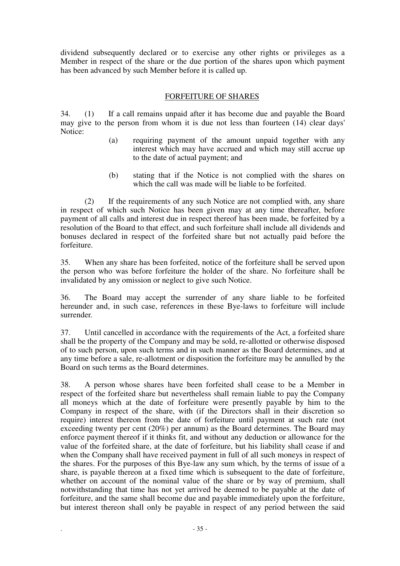dividend subsequently declared or to exercise any other rights or privileges as a Member in respect of the share or the due portion of the shares upon which payment has been advanced by such Member before it is called up.

### FORFEITURE OF SHARES

34. (1) If a call remains unpaid after it has become due and payable the Board may give to the person from whom it is due not less than fourteen (14) clear days' Notice:

- (a) requiring payment of the amount unpaid together with any interest which may have accrued and which may still accrue up to the date of actual payment; and
- (b) stating that if the Notice is not complied with the shares on which the call was made will be liable to be forfeited.

(2) If the requirements of any such Notice are not complied with, any share in respect of which such Notice has been given may at any time thereafter, before payment of all calls and interest due in respect thereof has been made, be forfeited by a resolution of the Board to that effect, and such forfeiture shall include all dividends and bonuses declared in respect of the forfeited share but not actually paid before the forfeiture.

35. When any share has been forfeited, notice of the forfeiture shall be served upon the person who was before forfeiture the holder of the share. No forfeiture shall be invalidated by any omission or neglect to give such Notice.

36. The Board may accept the surrender of any share liable to be forfeited hereunder and, in such case, references in these Bye-laws to forfeiture will include surrender.

37. Until cancelled in accordance with the requirements of the Act, a forfeited share shall be the property of the Company and may be sold, re-allotted or otherwise disposed of to such person, upon such terms and in such manner as the Board determines, and at any time before a sale, re-allotment or disposition the forfeiture may be annulled by the Board on such terms as the Board determines.

38. A person whose shares have been forfeited shall cease to be a Member in respect of the forfeited share but nevertheless shall remain liable to pay the Company all moneys which at the date of forfeiture were presently payable by him to the Company in respect of the share, with (if the Directors shall in their discretion so require) interest thereon from the date of forfeiture until payment at such rate (not exceeding twenty per cent (20%) per annum) as the Board determines. The Board may enforce payment thereof if it thinks fit, and without any deduction or allowance for the value of the forfeited share, at the date of forfeiture, but his liability shall cease if and when the Company shall have received payment in full of all such moneys in respect of the shares. For the purposes of this Bye-law any sum which, by the terms of issue of a share, is payable thereon at a fixed time which is subsequent to the date of forfeiture, whether on account of the nominal value of the share or by way of premium, shall notwithstanding that time has not yet arrived be deemed to be payable at the date of forfeiture, and the same shall become due and payable immediately upon the forfeiture, but interest thereon shall only be payable in respect of any period between the said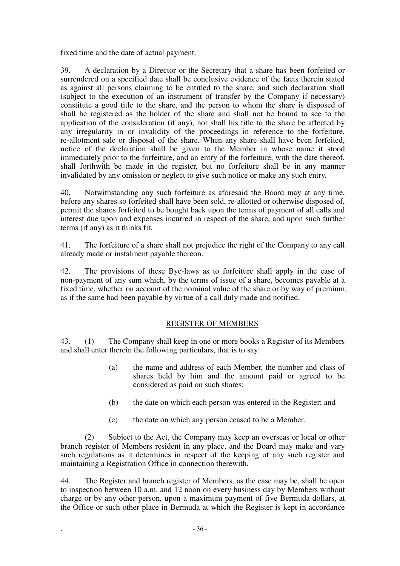fixed time and the date of actual payment.

39. A declaration by a Director or the Secretary that a share has been forfeited or surrendered on a specified date shall be conclusive evidence of the facts therein stated as against all persons claiming to be entitled to the share, and such declaration shall (subject to the execution of an instrument of transfer by the Company if necessary) constitute a good title to the share, and the person to whom the share is disposed of shall be registered as the holder of the share and shall not be bound to see to the application of the consideration (if any), nor shall his title to the share be affected by any irregularity in or invalidity of the proceedings in reference to the forfeiture, re-allotment sale or disposal of the share. When any share shall have been forfeited, notice of the declaration shall be given to the Member in whose name it stood immediately prior to the forfeiture, and an entry of the forfeiture, with the date thereof, shall forthwith be made in the register, but no forfeiture shall be in any manner invalidated by any omission or neglect to give such notice or make any such entry.

40. Notwithstanding any such forfeiture as aforesaid the Board may at any time, before any shares so forfeited shall have been sold, re-allotted or otherwise disposed of, permit the shares forfeited to be bought back upon the terms of payment of all calls and interest due upon and expenses incurred in respect of the share, and upon such further terms (if any) as it thinks fit.

41. The forfeiture of a share shall not prejudice the right of the Company to any call already made or instalment payable thereon.

42. The provisions of these Bye-laws as to forfeiture shall apply in the case of non-payment of any sum which, by the terms of issue of a share, becomes payable at a fixed time, whether on account of the nominal value of the share or by way of premium, as if the same had been payable by virtue of a call duly made and notified.

## REGISTER OF MEMBERS

43. (1) The Company shall keep in one or more books a Register of its Members and shall enter therein the following particulars, that is to say:

- (a) the name and address of each Member, the number and class of shares held by him and the amount paid or agreed to be considered as paid on such shares;
- (b) the date on which each person was entered in the Register; and
- (c) the date on which any person ceased to be a Member.

(2) Subject to the Act, the Company may keep an overseas or local or other branch register of Members resident in any place, and the Board may make and vary such regulations as it determines in respect of the keeping of any such register and maintaining a Registration Office in connection therewith.

44. The Register and branch register of Members, as the case may be, shall be open to inspection between 10 a.m. and 12 noon on every business day by Members without charge or by any other person, upon a maximum payment of five Bermuda dollars, at the Office or such other place in Bermuda at which the Register is kept in accordance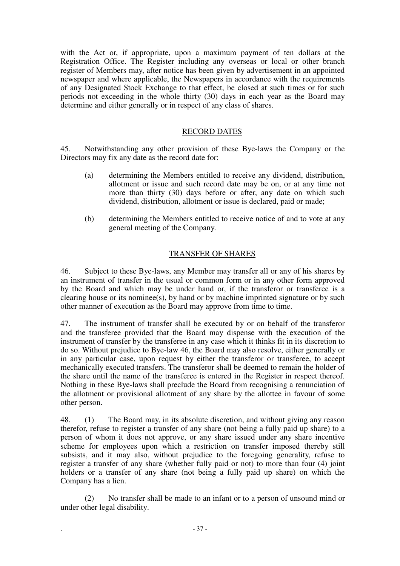with the Act or, if appropriate, upon a maximum payment of ten dollars at the Registration Office. The Register including any overseas or local or other branch register of Members may, after notice has been given by advertisement in an appointed newspaper and where applicable, the Newspapers in accordance with the requirements of any Designated Stock Exchange to that effect, be closed at such times or for such periods not exceeding in the whole thirty (30) days in each year as the Board may determine and either generally or in respect of any class of shares.

# RECORD DATES

45. Notwithstanding any other provision of these Bye-laws the Company or the Directors may fix any date as the record date for:

- (a) determining the Members entitled to receive any dividend, distribution, allotment or issue and such record date may be on, or at any time not more than thirty (30) days before or after, any date on which such dividend, distribution, allotment or issue is declared, paid or made;
- (b) determining the Members entitled to receive notice of and to vote at any general meeting of the Company.

# TRANSFER OF SHARES

46. Subject to these Bye-laws, any Member may transfer all or any of his shares by an instrument of transfer in the usual or common form or in any other form approved by the Board and which may be under hand or, if the transferor or transferee is a clearing house or its nominee(s), by hand or by machine imprinted signature or by such other manner of execution as the Board may approve from time to time.

47. The instrument of transfer shall be executed by or on behalf of the transferor and the transferee provided that the Board may dispense with the execution of the instrument of transfer by the transferee in any case which it thinks fit in its discretion to do so. Without prejudice to Bye-law 46, the Board may also resolve, either generally or in any particular case, upon request by either the transferor or transferee, to accept mechanically executed transfers. The transferor shall be deemed to remain the holder of the share until the name of the transferee is entered in the Register in respect thereof. Nothing in these Bye-laws shall preclude the Board from recognising a renunciation of the allotment or provisional allotment of any share by the allottee in favour of some other person.

48. (1) The Board may, in its absolute discretion, and without giving any reason therefor, refuse to register a transfer of any share (not being a fully paid up share) to a person of whom it does not approve, or any share issued under any share incentive scheme for employees upon which a restriction on transfer imposed thereby still subsists, and it may also, without prejudice to the foregoing generality, refuse to register a transfer of any share (whether fully paid or not) to more than four (4) joint holders or a transfer of any share (not being a fully paid up share) on which the Company has a lien.

(2) No transfer shall be made to an infant or to a person of unsound mind or under other legal disability.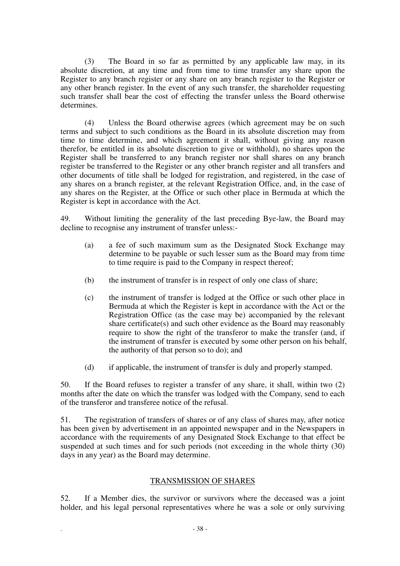(3) The Board in so far as permitted by any applicable law may, in its absolute discretion, at any time and from time to time transfer any share upon the Register to any branch register or any share on any branch register to the Register or any other branch register. In the event of any such transfer, the shareholder requesting such transfer shall bear the cost of effecting the transfer unless the Board otherwise determines.

(4) Unless the Board otherwise agrees (which agreement may be on such terms and subject to such conditions as the Board in its absolute discretion may from time to time determine, and which agreement it shall, without giving any reason therefor, be entitled in its absolute discretion to give or withhold), no shares upon the Register shall be transferred to any branch register nor shall shares on any branch register be transferred to the Register or any other branch register and all transfers and other documents of title shall be lodged for registration, and registered, in the case of any shares on a branch register, at the relevant Registration Office, and, in the case of any shares on the Register, at the Office or such other place in Bermuda at which the Register is kept in accordance with the Act.

49. Without limiting the generality of the last preceding Bye-law, the Board may decline to recognise any instrument of transfer unless:-

- (a) a fee of such maximum sum as the Designated Stock Exchange may determine to be payable or such lesser sum as the Board may from time to time require is paid to the Company in respect thereof;
- (b) the instrument of transfer is in respect of only one class of share;
- (c) the instrument of transfer is lodged at the Office or such other place in Bermuda at which the Register is kept in accordance with the Act or the Registration Office (as the case may be) accompanied by the relevant share certificate(s) and such other evidence as the Board may reasonably require to show the right of the transferor to make the transfer (and, if the instrument of transfer is executed by some other person on his behalf, the authority of that person so to do); and
- (d) if applicable, the instrument of transfer is duly and properly stamped.

50. If the Board refuses to register a transfer of any share, it shall, within two (2) months after the date on which the transfer was lodged with the Company, send to each of the transferor and transferee notice of the refusal.

51. The registration of transfers of shares or of any class of shares may, after notice has been given by advertisement in an appointed newspaper and in the Newspapers in accordance with the requirements of any Designated Stock Exchange to that effect be suspended at such times and for such periods (not exceeding in the whole thirty (30) days in any year) as the Board may determine.

# TRANSMISSION OF SHARES

52. If a Member dies, the survivor or survivors where the deceased was a joint holder, and his legal personal representatives where he was a sole or only surviving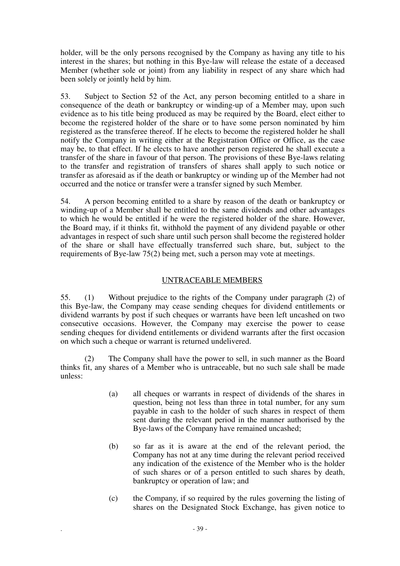holder, will be the only persons recognised by the Company as having any title to his interest in the shares; but nothing in this Bye-law will release the estate of a deceased Member (whether sole or joint) from any liability in respect of any share which had been solely or jointly held by him.

53. Subject to Section 52 of the Act, any person becoming entitled to a share in consequence of the death or bankruptcy or winding-up of a Member may, upon such evidence as to his title being produced as may be required by the Board, elect either to become the registered holder of the share or to have some person nominated by him registered as the transferee thereof. If he elects to become the registered holder he shall notify the Company in writing either at the Registration Office or Office, as the case may be, to that effect. If he elects to have another person registered he shall execute a transfer of the share in favour of that person. The provisions of these Bye-laws relating to the transfer and registration of transfers of shares shall apply to such notice or transfer as aforesaid as if the death or bankruptcy or winding up of the Member had not occurred and the notice or transfer were a transfer signed by such Member.

54. A person becoming entitled to a share by reason of the death or bankruptcy or winding-up of a Member shall be entitled to the same dividends and other advantages to which he would be entitled if he were the registered holder of the share. However, the Board may, if it thinks fit, withhold the payment of any dividend payable or other advantages in respect of such share until such person shall become the registered holder of the share or shall have effectually transferred such share, but, subject to the requirements of Bye-law 75(2) being met, such a person may vote at meetings.

# UNTRACEABLE MEMBERS

55. (1) Without prejudice to the rights of the Company under paragraph (2) of this Bye-law, the Company may cease sending cheques for dividend entitlements or dividend warrants by post if such cheques or warrants have been left uncashed on two consecutive occasions. However, the Company may exercise the power to cease sending cheques for dividend entitlements or dividend warrants after the first occasion on which such a cheque or warrant is returned undelivered.

(2) The Company shall have the power to sell, in such manner as the Board thinks fit, any shares of a Member who is untraceable, but no such sale shall be made unless:

- (a) all cheques or warrants in respect of dividends of the shares in question, being not less than three in total number, for any sum payable in cash to the holder of such shares in respect of them sent during the relevant period in the manner authorised by the Bye-laws of the Company have remained uncashed;
- (b) so far as it is aware at the end of the relevant period, the Company has not at any time during the relevant period received any indication of the existence of the Member who is the holder of such shares or of a person entitled to such shares by death, bankruptcy or operation of law; and
- (c) the Company, if so required by the rules governing the listing of shares on the Designated Stock Exchange, has given notice to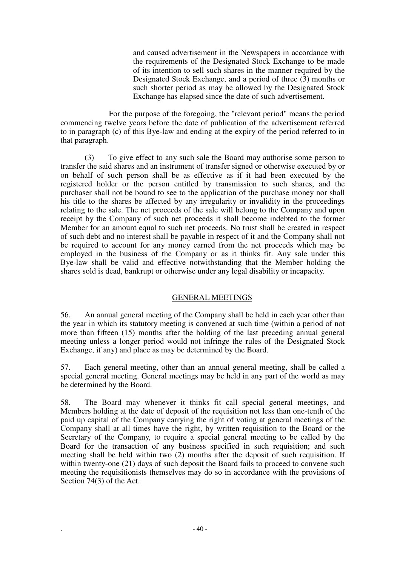and caused advertisement in the Newspapers in accordance with the requirements of the Designated Stock Exchange to be made of its intention to sell such shares in the manner required by the Designated Stock Exchange, and a period of three (3) months or such shorter period as may be allowed by the Designated Stock Exchange has elapsed since the date of such advertisement.

For the purpose of the foregoing, the "relevant period" means the period commencing twelve years before the date of publication of the advertisement referred to in paragraph (c) of this Bye-law and ending at the expiry of the period referred to in that paragraph.

(3) To give effect to any such sale the Board may authorise some person to transfer the said shares and an instrument of transfer signed or otherwise executed by or on behalf of such person shall be as effective as if it had been executed by the registered holder or the person entitled by transmission to such shares, and the purchaser shall not be bound to see to the application of the purchase money nor shall his title to the shares be affected by any irregularity or invalidity in the proceedings relating to the sale. The net proceeds of the sale will belong to the Company and upon receipt by the Company of such net proceeds it shall become indebted to the former Member for an amount equal to such net proceeds. No trust shall be created in respect of such debt and no interest shall be payable in respect of it and the Company shall not be required to account for any money earned from the net proceeds which may be employed in the business of the Company or as it thinks fit. Any sale under this Bye-law shall be valid and effective notwithstanding that the Member holding the shares sold is dead, bankrupt or otherwise under any legal disability or incapacity.

# GENERAL MEETINGS

56. An annual general meeting of the Company shall be held in each year other than the year in which its statutory meeting is convened at such time (within a period of not more than fifteen (15) months after the holding of the last preceding annual general meeting unless a longer period would not infringe the rules of the Designated Stock Exchange, if any) and place as may be determined by the Board.

57. Each general meeting, other than an annual general meeting, shall be called a special general meeting. General meetings may be held in any part of the world as may be determined by the Board.

58. The Board may whenever it thinks fit call special general meetings, and Members holding at the date of deposit of the requisition not less than one-tenth of the paid up capital of the Company carrying the right of voting at general meetings of the Company shall at all times have the right, by written requisition to the Board or the Secretary of the Company, to require a special general meeting to be called by the Board for the transaction of any business specified in such requisition; and such meeting shall be held within two (2) months after the deposit of such requisition. If within twenty-one (21) days of such deposit the Board fails to proceed to convene such meeting the requisitionists themselves may do so in accordance with the provisions of Section 74(3) of the Act.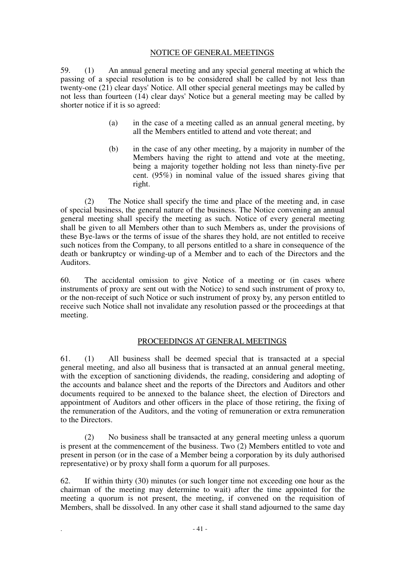## NOTICE OF GENERAL MEETINGS

59. (1) An annual general meeting and any special general meeting at which the passing of a special resolution is to be considered shall be called by not less than twenty-one (21) clear days' Notice. All other special general meetings may be called by not less than fourteen (14) clear days' Notice but a general meeting may be called by shorter notice if it is so agreed:

- (a) in the case of a meeting called as an annual general meeting, by all the Members entitled to attend and vote thereat; and
- (b) in the case of any other meeting, by a majority in number of the Members having the right to attend and vote at the meeting, being a majority together holding not less than ninety-five per cent. (95%) in nominal value of the issued shares giving that right.

(2) The Notice shall specify the time and place of the meeting and, in case of special business, the general nature of the business. The Notice convening an annual general meeting shall specify the meeting as such. Notice of every general meeting shall be given to all Members other than to such Members as, under the provisions of these Bye-laws or the terms of issue of the shares they hold, are not entitled to receive such notices from the Company, to all persons entitled to a share in consequence of the death or bankruptcy or winding-up of a Member and to each of the Directors and the Auditors.

60. The accidental omission to give Notice of a meeting or (in cases where instruments of proxy are sent out with the Notice) to send such instrument of proxy to, or the non-receipt of such Notice or such instrument of proxy by, any person entitled to receive such Notice shall not invalidate any resolution passed or the proceedings at that meeting.

## PROCEEDINGS AT GENERAL MEETINGS

61. (1) All business shall be deemed special that is transacted at a special general meeting, and also all business that is transacted at an annual general meeting, with the exception of sanctioning dividends, the reading, considering and adopting of the accounts and balance sheet and the reports of the Directors and Auditors and other documents required to be annexed to the balance sheet, the election of Directors and appointment of Auditors and other officers in the place of those retiring, the fixing of the remuneration of the Auditors, and the voting of remuneration or extra remuneration to the Directors.

(2) No business shall be transacted at any general meeting unless a quorum is present at the commencement of the business. Two (2) Members entitled to vote and present in person (or in the case of a Member being a corporation by its duly authorised representative) or by proxy shall form a quorum for all purposes.

62. If within thirty (30) minutes (or such longer time not exceeding one hour as the chairman of the meeting may determine to wait) after the time appointed for the meeting a quorum is not present, the meeting, if convened on the requisition of Members, shall be dissolved. In any other case it shall stand adjourned to the same day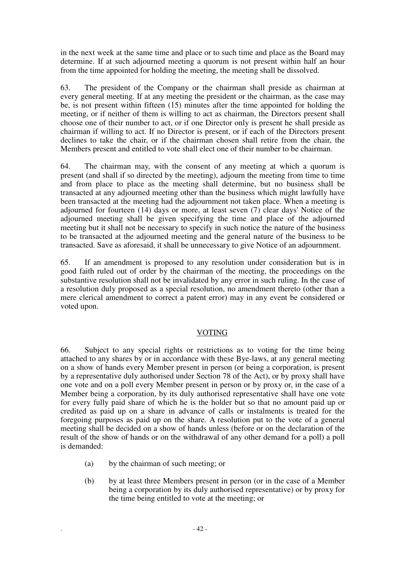in the next week at the same time and place or to such time and place as the Board may determine. If at such adjourned meeting a quorum is not present within half an hour from the time appointed for holding the meeting, the meeting shall be dissolved.

63. The president of the Company or the chairman shall preside as chairman at every general meeting. If at any meeting the president or the chairman, as the case may be, is not present within fifteen (15) minutes after the time appointed for holding the meeting, or if neither of them is willing to act as chairman, the Directors present shall choose one of their number to act, or if one Director only is present he shall preside as chairman if willing to act. If no Director is present, or if each of the Directors present declines to take the chair, or if the chairman chosen shall retire from the chair, the Members present and entitled to vote shall elect one of their number to be chairman.

64. The chairman may, with the consent of any meeting at which a quorum is present (and shall if so directed by the meeting), adjourn the meeting from time to time and from place to place as the meeting shall determine, but no business shall be transacted at any adjourned meeting other than the business which might lawfully have been transacted at the meeting had the adjournment not taken place. When a meeting is adjourned for fourteen (14) days or more, at least seven (7) clear days' Notice of the adjourned meeting shall be given specifying the time and place of the adjourned meeting but it shall not be necessary to specify in such notice the nature of the business to be transacted at the adjourned meeting and the general nature of the business to be transacted. Save as aforesaid, it shall be unnecessary to give Notice of an adjournment.

65. If an amendment is proposed to any resolution under consideration but is in good faith ruled out of order by the chairman of the meeting, the proceedings on the substantive resolution shall not be invalidated by any error in such ruling. In the case of a resolution duly proposed as a special resolution, no amendment thereto (other than a mere clerical amendment to correct a patent error) may in any event be considered or voted upon.

# VOTING

66. Subject to any special rights or restrictions as to voting for the time being attached to any shares by or in accordance with these Bye-laws, at any general meeting on a show of hands every Member present in person (or being a corporation, is present by a representative duly authorised under Section 78 of the Act), or by proxy shall have one vote and on a poll every Member present in person or by proxy or, in the case of a Member being a corporation, by its duly authorised representative shall have one vote for every fully paid share of which he is the holder but so that no amount paid up or credited as paid up on a share in advance of calls or instalments is treated for the foregoing purposes as paid up on the share. A resolution put to the vote of a general meeting shall be decided on a show of hands unless (before or on the declaration of the result of the show of hands or on the withdrawal of any other demand for a poll) a poll is demanded:

- (a) by the chairman of such meeting; or
- (b) by at least three Members present in person (or in the case of a Member being a corporation by its duly authorised representative) or by proxy for the time being entitled to vote at the meeting; or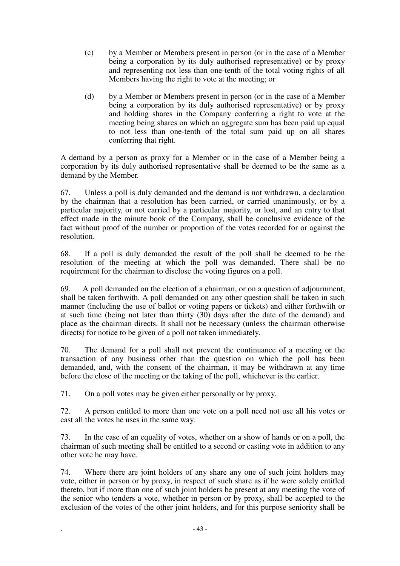- (c) by a Member or Members present in person (or in the case of a Member being a corporation by its duly authorised representative) or by proxy and representing not less than one-tenth of the total voting rights of all Members having the right to vote at the meeting; or
- (d) by a Member or Members present in person (or in the case of a Member being a corporation by its duly authorised representative) or by proxy and holding shares in the Company conferring a right to vote at the meeting being shares on which an aggregate sum has been paid up equal to not less than one-tenth of the total sum paid up on all shares conferring that right.

A demand by a person as proxy for a Member or in the case of a Member being a corporation by its duly authorised representative shall be deemed to be the same as a demand by the Member.

67. Unless a poll is duly demanded and the demand is not withdrawn, a declaration by the chairman that a resolution has been carried, or carried unanimously, or by a particular majority, or not carried by a particular majority, or lost, and an entry to that effect made in the minute book of the Company, shall be conclusive evidence of the fact without proof of the number or proportion of the votes recorded for or against the resolution.

68. If a poll is duly demanded the result of the poll shall be deemed to be the resolution of the meeting at which the poll was demanded. There shall be no requirement for the chairman to disclose the voting figures on a poll.

69. A poll demanded on the election of a chairman, or on a question of adjournment, shall be taken forthwith. A poll demanded on any other question shall be taken in such manner (including the use of ballot or voting papers or tickets) and either forthwith or at such time (being not later than thirty (30) days after the date of the demand) and place as the chairman directs. It shall not be necessary (unless the chairman otherwise directs) for notice to be given of a poll not taken immediately.

70. The demand for a poll shall not prevent the continuance of a meeting or the transaction of any business other than the question on which the poll has been demanded, and, with the consent of the chairman, it may be withdrawn at any time before the close of the meeting or the taking of the poll, whichever is the earlier.

71. On a poll votes may be given either personally or by proxy.

72. A person entitled to more than one vote on a poll need not use all his votes or cast all the votes he uses in the same way.

73. In the case of an equality of votes, whether on a show of hands or on a poll, the chairman of such meeting shall be entitled to a second or casting vote in addition to any other vote he may have.

74. Where there are joint holders of any share any one of such joint holders may vote, either in person or by proxy, in respect of such share as if he were solely entitled thereto, but if more than one of such joint holders be present at any meeting the vote of the senior who tenders a vote, whether in person or by proxy, shall be accepted to the exclusion of the votes of the other joint holders, and for this purpose seniority shall be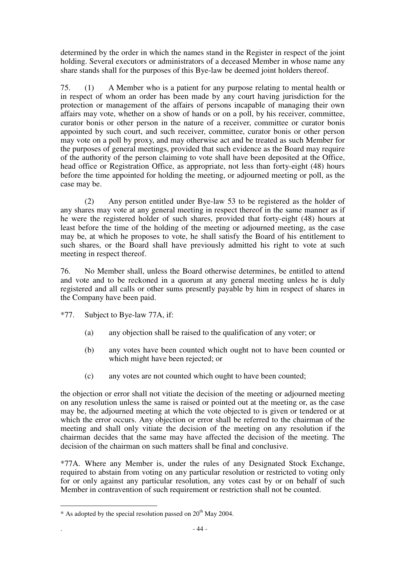determined by the order in which the names stand in the Register in respect of the joint holding. Several executors or administrators of a deceased Member in whose name any share stands shall for the purposes of this Bye-law be deemed joint holders thereof.

75. (1) A Member who is a patient for any purpose relating to mental health or in respect of whom an order has been made by any court having jurisdiction for the protection or management of the affairs of persons incapable of managing their own affairs may vote, whether on a show of hands or on a poll, by his receiver, committee, curator bonis or other person in the nature of a receiver, committee or curator bonis appointed by such court, and such receiver, committee, curator bonis or other person may vote on a poll by proxy, and may otherwise act and be treated as such Member for the purposes of general meetings, provided that such evidence as the Board may require of the authority of the person claiming to vote shall have been deposited at the Office, head office or Registration Office, as appropriate, not less than forty-eight (48) hours before the time appointed for holding the meeting, or adjourned meeting or poll, as the case may be.

(2) Any person entitled under Bye-law 53 to be registered as the holder of any shares may vote at any general meeting in respect thereof in the same manner as if he were the registered holder of such shares, provided that forty-eight (48) hours at least before the time of the holding of the meeting or adjourned meeting, as the case may be, at which he proposes to vote, he shall satisfy the Board of his entitlement to such shares, or the Board shall have previously admitted his right to vote at such meeting in respect thereof.

76. No Member shall, unless the Board otherwise determines, be entitled to attend and vote and to be reckoned in a quorum at any general meeting unless he is duly registered and all calls or other sums presently payable by him in respect of shares in the Company have been paid.

- \*77. Subject to Bye-law 77A, if:
	- (a) any objection shall be raised to the qualification of any voter; or
	- (b) any votes have been counted which ought not to have been counted or which might have been rejected; or
	- (c) any votes are not counted which ought to have been counted;

the objection or error shall not vitiate the decision of the meeting or adjourned meeting on any resolution unless the same is raised or pointed out at the meeting or, as the case may be, the adjourned meeting at which the vote objected to is given or tendered or at which the error occurs. Any objection or error shall be referred to the chairman of the meeting and shall only vitiate the decision of the meeting on any resolution if the chairman decides that the same may have affected the decision of the meeting. The decision of the chairman on such matters shall be final and conclusive.

\*77A. Where any Member is, under the rules of any Designated Stock Exchange, required to abstain from voting on any particular resolution or restricted to voting only for or only against any particular resolution, any votes cast by or on behalf of such Member in contravention of such requirement or restriction shall not be counted.

 $\overline{a}$  $*$  As adopted by the special resolution passed on  $20<sup>th</sup>$  May 2004.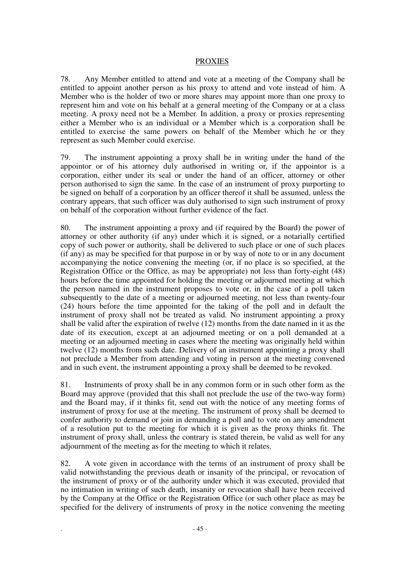## PROXIES

78. Any Member entitled to attend and vote at a meeting of the Company shall be entitled to appoint another person as his proxy to attend and vote instead of him. A Member who is the holder of two or more shares may appoint more than one proxy to represent him and vote on his behalf at a general meeting of the Company or at a class meeting. A proxy need not be a Member. In addition, a proxy or proxies representing either a Member who is an individual or a Member which is a corporation shall be entitled to exercise the same powers on behalf of the Member which he or they represent as such Member could exercise.

79. The instrument appointing a proxy shall be in writing under the hand of the appointor or of his attorney duly authorised in writing or, if the appointor is a corporation, either under its seal or under the hand of an officer, attorney or other person authorised to sign the same. In the case of an instrument of proxy purporting to be signed on behalf of a corporation by an officer thereof it shall be assumed, unless the contrary appears, that such officer was duly authorised to sign such instrument of proxy on behalf of the corporation without further evidence of the fact.

80. The instrument appointing a proxy and (if required by the Board) the power of attorney or other authority (if any) under which it is signed, or a notarially certified copy of such power or authority, shall be delivered to such place or one of such places (if any) as may be specified for that purpose in or by way of note to or in any document accompanying the notice convening the meeting (or, if no place is so specified, at the Registration Office or the Office, as may be appropriate) not less than forty-eight (48) hours before the time appointed for holding the meeting or adjourned meeting at which the person named in the instrument proposes to vote or, in the case of a poll taken subsequently to the date of a meeting or adjourned meeting, not less than twenty-four (24) hours before the time appointed for the taking of the poll and in default the instrument of proxy shall not be treated as valid. No instrument appointing a proxy shall be valid after the expiration of twelve (12) months from the date named in it as the date of its execution, except at an adjourned meeting or on a poll demanded at a meeting or an adjourned meeting in cases where the meeting was originally held within twelve (12) months from such date. Delivery of an instrument appointing a proxy shall not preclude a Member from attending and voting in person at the meeting convened and in such event, the instrument appointing a proxy shall be deemed to be revoked.

81. Instruments of proxy shall be in any common form or in such other form as the Board may approve (provided that this shall not preclude the use of the two-way form) and the Board may, if it thinks fit, send out with the notice of any meeting forms of instrument of proxy for use at the meeting. The instrument of proxy shall be deemed to confer authority to demand or join in demanding a poll and to vote on any amendment of a resolution put to the meeting for which it is given as the proxy thinks fit. The instrument of proxy shall, unless the contrary is stated therein, be valid as well for any adjournment of the meeting as for the meeting to which it relates.

82. A vote given in accordance with the terms of an instrument of proxy shall be valid notwithstanding the previous death or insanity of the principal, or revocation of the instrument of proxy or of the authority under which it was executed, provided that no intimation in writing of such death, insanity or revocation shall have been received by the Company at the Office or the Registration Office (or such other place as may be specified for the delivery of instruments of proxy in the notice convening the meeting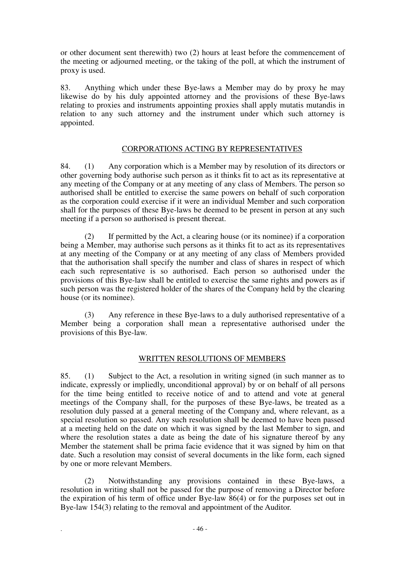or other document sent therewith) two (2) hours at least before the commencement of the meeting or adjourned meeting, or the taking of the poll, at which the instrument of proxy is used.

83. Anything which under these Bye-laws a Member may do by proxy he may likewise do by his duly appointed attorney and the provisions of these Bye-laws relating to proxies and instruments appointing proxies shall apply mutatis mutandis in relation to any such attorney and the instrument under which such attorney is appointed.

# CORPORATIONS ACTING BY REPRESENTATIVES

84. (1) Any corporation which is a Member may by resolution of its directors or other governing body authorise such person as it thinks fit to act as its representative at any meeting of the Company or at any meeting of any class of Members. The person so authorised shall be entitled to exercise the same powers on behalf of such corporation as the corporation could exercise if it were an individual Member and such corporation shall for the purposes of these Bye-laws be deemed to be present in person at any such meeting if a person so authorised is present thereat.

(2) If permitted by the Act, a clearing house (or its nominee) if a corporation being a Member, may authorise such persons as it thinks fit to act as its representatives at any meeting of the Company or at any meeting of any class of Members provided that the authorisation shall specify the number and class of shares in respect of which each such representative is so authorised. Each person so authorised under the provisions of this Bye-law shall be entitled to exercise the same rights and powers as if such person was the registered holder of the shares of the Company held by the clearing house (or its nominee).

(3) Any reference in these Bye-laws to a duly authorised representative of a Member being a corporation shall mean a representative authorised under the provisions of this Bye-law.

## WRITTEN RESOLUTIONS OF MEMBERS

85. (1) Subject to the Act, a resolution in writing signed (in such manner as to indicate, expressly or impliedly, unconditional approval) by or on behalf of all persons for the time being entitled to receive notice of and to attend and vote at general meetings of the Company shall, for the purposes of these Bye-laws, be treated as a resolution duly passed at a general meeting of the Company and, where relevant, as a special resolution so passed. Any such resolution shall be deemed to have been passed at a meeting held on the date on which it was signed by the last Member to sign, and where the resolution states a date as being the date of his signature thereof by any Member the statement shall be prima facie evidence that it was signed by him on that date. Such a resolution may consist of several documents in the like form, each signed by one or more relevant Members.

(2) Notwithstanding any provisions contained in these Bye-laws, a resolution in writing shall not be passed for the purpose of removing a Director before the expiration of his term of office under Bye-law 86(4) or for the purposes set out in Bye-law 154(3) relating to the removal and appointment of the Auditor.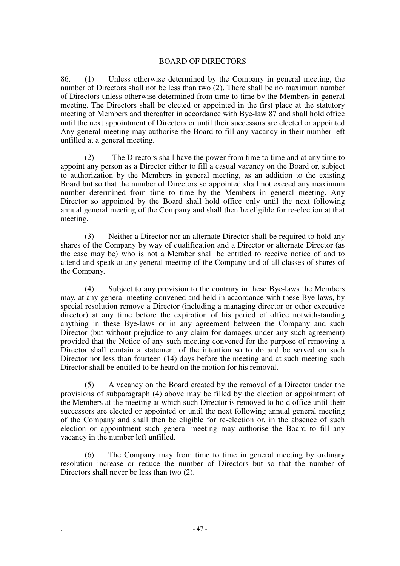## BOARD OF DIRECTORS

86. (1) Unless otherwise determined by the Company in general meeting, the number of Directors shall not be less than two (2). There shall be no maximum number of Directors unless otherwise determined from time to time by the Members in general meeting. The Directors shall be elected or appointed in the first place at the statutory meeting of Members and thereafter in accordance with Bye-law 87 and shall hold office until the next appointment of Directors or until their successors are elected or appointed. Any general meeting may authorise the Board to fill any vacancy in their number left unfilled at a general meeting.

(2) The Directors shall have the power from time to time and at any time to appoint any person as a Director either to fill a casual vacancy on the Board or, subject to authorization by the Members in general meeting, as an addition to the existing Board but so that the number of Directors so appointed shall not exceed any maximum number determined from time to time by the Members in general meeting. Any Director so appointed by the Board shall hold office only until the next following annual general meeting of the Company and shall then be eligible for re-election at that meeting.

(3) Neither a Director nor an alternate Director shall be required to hold any shares of the Company by way of qualification and a Director or alternate Director (as the case may be) who is not a Member shall be entitled to receive notice of and to attend and speak at any general meeting of the Company and of all classes of shares of the Company.

(4) Subject to any provision to the contrary in these Bye-laws the Members may, at any general meeting convened and held in accordance with these Bye-laws, by special resolution remove a Director (including a managing director or other executive director) at any time before the expiration of his period of office notwithstanding anything in these Bye-laws or in any agreement between the Company and such Director (but without prejudice to any claim for damages under any such agreement) provided that the Notice of any such meeting convened for the purpose of removing a Director shall contain a statement of the intention so to do and be served on such Director not less than fourteen (14) days before the meeting and at such meeting such Director shall be entitled to be heard on the motion for his removal.

(5) A vacancy on the Board created by the removal of a Director under the provisions of subparagraph (4) above may be filled by the election or appointment of the Members at the meeting at which such Director is removed to hold office until their successors are elected or appointed or until the next following annual general meeting of the Company and shall then be eligible for re-election or, in the absence of such election or appointment such general meeting may authorise the Board to fill any vacancy in the number left unfilled.

(6) The Company may from time to time in general meeting by ordinary resolution increase or reduce the number of Directors but so that the number of Directors shall never be less than two (2).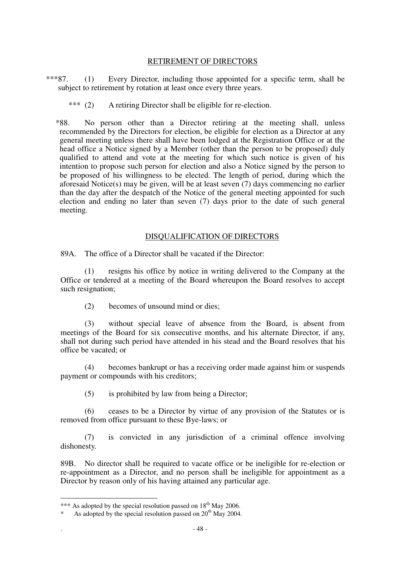## RETIREMENT OF DIRECTORS

\*\*\*87. (1) Every Director, including those appointed for a specific term, shall be subject to retirement by rotation at least once every three years.

\*\*\* (2) A retiring Director shall be eligible for re-election.

\*88. No person other than a Director retiring at the meeting shall, unless recommended by the Directors for election, be eligible for election as a Director at any general meeting unless there shall have been lodged at the Registration Office or at the head office a Notice signed by a Member (other than the person to be proposed) duly qualified to attend and vote at the meeting for which such notice is given of his intention to propose such person for election and also a Notice signed by the person to be proposed of his willingness to be elected. The length of period, during which the aforesaid Notice(s) may be given, will be at least seven (7) days commencing no earlier than the day after the despatch of the Notice of the general meeting appointed for such election and ending no later than seven (7) days prior to the date of such general meeting.

## DISQUALIFICATION OF DIRECTORS

89A. The office of a Director shall be vacated if the Director:

(1) resigns his office by notice in writing delivered to the Company at the Office or tendered at a meeting of the Board whereupon the Board resolves to accept such resignation;

(2) becomes of unsound mind or dies;

(3) without special leave of absence from the Board, is absent from meetings of the Board for six consecutive months, and his alternate Director, if any, shall not during such period have attended in his stead and the Board resolves that his office be vacated; or

(4) becomes bankrupt or has a receiving order made against him or suspends payment or compounds with his creditors;

(5) is prohibited by law from being a Director;

(6) ceases to be a Director by virtue of any provision of the Statutes or is removed from office pursuant to these Bye-laws; or

(7) is convicted in any jurisdiction of a criminal offence involving dishonesty.

89B. No director shall be required to vacate office or be ineligible for re-election or re-appointment as a Director, and no person shall be ineligible for appointment as a Director by reason only of his having attained any particular age.

 $\overline{a}$ 

<sup>\*\*\*</sup> As adopted by the special resolution passed on  $18<sup>th</sup>$  May 2006.

<sup>\*</sup> As adopted by the special resolution passed on  $20<sup>th</sup>$  May 2004.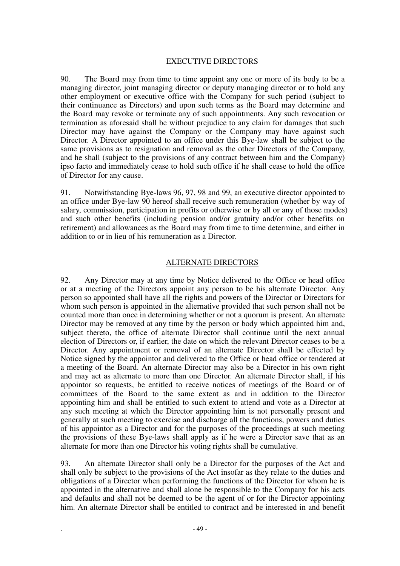# EXECUTIVE DIRECTORS

90. The Board may from time to time appoint any one or more of its body to be a managing director, joint managing director or deputy managing director or to hold any other employment or executive office with the Company for such period (subject to their continuance as Directors) and upon such terms as the Board may determine and the Board may revoke or terminate any of such appointments. Any such revocation or termination as aforesaid shall be without prejudice to any claim for damages that such Director may have against the Company or the Company may have against such Director. A Director appointed to an office under this Bye-law shall be subject to the same provisions as to resignation and removal as the other Directors of the Company, and he shall (subject to the provisions of any contract between him and the Company) ipso facto and immediately cease to hold such office if he shall cease to hold the office of Director for any cause.

91. Notwithstanding Bye-laws 96, 97, 98 and 99, an executive director appointed to an office under Bye-law 90 hereof shall receive such remuneration (whether by way of salary, commission, participation in profits or otherwise or by all or any of those modes) and such other benefits (including pension and/or gratuity and/or other benefits on retirement) and allowances as the Board may from time to time determine, and either in addition to or in lieu of his remuneration as a Director.

## ALTERNATE DIRECTORS

92. Any Director may at any time by Notice delivered to the Office or head office or at a meeting of the Directors appoint any person to be his alternate Director. Any person so appointed shall have all the rights and powers of the Director or Directors for whom such person is appointed in the alternative provided that such person shall not be counted more than once in determining whether or not a quorum is present. An alternate Director may be removed at any time by the person or body which appointed him and, subject thereto, the office of alternate Director shall continue until the next annual election of Directors or, if earlier, the date on which the relevant Director ceases to be a Director. Any appointment or removal of an alternate Director shall be effected by Notice signed by the appointor and delivered to the Office or head office or tendered at a meeting of the Board. An alternate Director may also be a Director in his own right and may act as alternate to more than one Director. An alternate Director shall, if his appointor so requests, be entitled to receive notices of meetings of the Board or of committees of the Board to the same extent as and in addition to the Director appointing him and shall be entitled to such extent to attend and vote as a Director at any such meeting at which the Director appointing him is not personally present and generally at such meeting to exercise and discharge all the functions, powers and duties of his appointor as a Director and for the purposes of the proceedings at such meeting the provisions of these Bye-laws shall apply as if he were a Director save that as an alternate for more than one Director his voting rights shall be cumulative.

93. An alternate Director shall only be a Director for the purposes of the Act and shall only be subject to the provisions of the Act insofar as they relate to the duties and obligations of a Director when performing the functions of the Director for whom he is appointed in the alternative and shall alone be responsible to the Company for his acts and defaults and shall not be deemed to be the agent of or for the Director appointing him. An alternate Director shall be entitled to contract and be interested in and benefit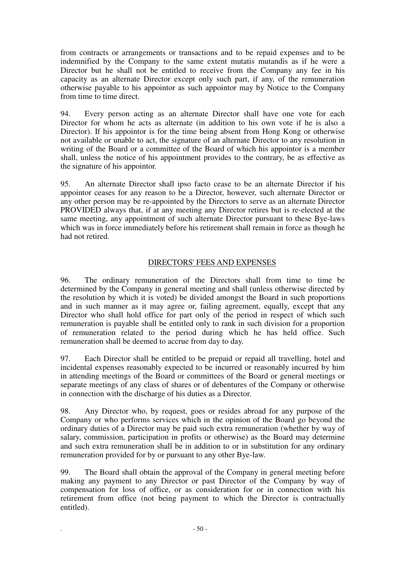from contracts or arrangements or transactions and to be repaid expenses and to be indemnified by the Company to the same extent mutatis mutandis as if he were a Director but he shall not be entitled to receive from the Company any fee in his capacity as an alternate Director except only such part, if any, of the remuneration otherwise payable to his appointor as such appointor may by Notice to the Company from time to time direct.

94. Every person acting as an alternate Director shall have one vote for each Director for whom he acts as alternate (in addition to his own vote if he is also a Director). If his appointor is for the time being absent from Hong Kong or otherwise not available or unable to act, the signature of an alternate Director to any resolution in writing of the Board or a committee of the Board of which his appointor is a member shall, unless the notice of his appointment provides to the contrary, be as effective as the signature of his appointor.

95. An alternate Director shall ipso facto cease to be an alternate Director if his appointor ceases for any reason to be a Director, however, such alternate Director or any other person may be re-appointed by the Directors to serve as an alternate Director PROVIDED always that, if at any meeting any Director retires but is re-elected at the same meeting, any appointment of such alternate Director pursuant to these Bye-laws which was in force immediately before his retirement shall remain in force as though he had not retired.

# DIRECTORS' FEES AND EXPENSES

96. The ordinary remuneration of the Directors shall from time to time be determined by the Company in general meeting and shall (unless otherwise directed by the resolution by which it is voted) be divided amongst the Board in such proportions and in such manner as it may agree or, failing agreement, equally, except that any Director who shall hold office for part only of the period in respect of which such remuneration is payable shall be entitled only to rank in such division for a proportion of remuneration related to the period during which he has held office. Such remuneration shall be deemed to accrue from day to day.

97. Each Director shall be entitled to be prepaid or repaid all travelling, hotel and incidental expenses reasonably expected to be incurred or reasonably incurred by him in attending meetings of the Board or committees of the Board or general meetings or separate meetings of any class of shares or of debentures of the Company or otherwise in connection with the discharge of his duties as a Director.

98. Any Director who, by request, goes or resides abroad for any purpose of the Company or who performs services which in the opinion of the Board go beyond the ordinary duties of a Director may be paid such extra remuneration (whether by way of salary, commission, participation in profits or otherwise) as the Board may determine and such extra remuneration shall be in addition to or in substitution for any ordinary remuneration provided for by or pursuant to any other Bye-law.

99. The Board shall obtain the approval of the Company in general meeting before making any payment to any Director or past Director of the Company by way of compensation for loss of office, or as consideration for or in connection with his retirement from office (not being payment to which the Director is contractually entitled).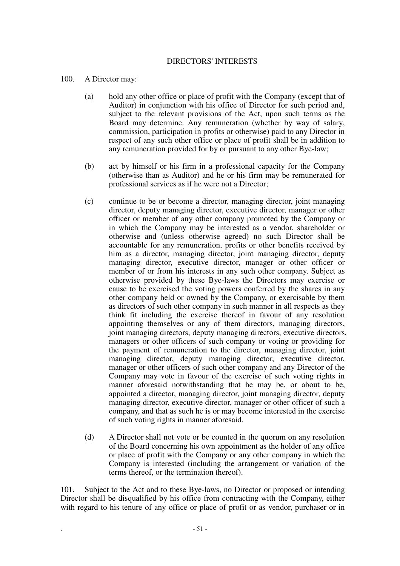# 100. A Director may:

- (a) hold any other office or place of profit with the Company (except that of Auditor) in conjunction with his office of Director for such period and, subject to the relevant provisions of the Act, upon such terms as the Board may determine. Any remuneration (whether by way of salary, commission, participation in profits or otherwise) paid to any Director in respect of any such other office or place of profit shall be in addition to any remuneration provided for by or pursuant to any other Bye-law;
- (b) act by himself or his firm in a professional capacity for the Company (otherwise than as Auditor) and he or his firm may be remunerated for professional services as if he were not a Director;
- (c) continue to be or become a director, managing director, joint managing director, deputy managing director, executive director, manager or other officer or member of any other company promoted by the Company or in which the Company may be interested as a vendor, shareholder or otherwise and (unless otherwise agreed) no such Director shall be accountable for any remuneration, profits or other benefits received by him as a director, managing director, joint managing director, deputy managing director, executive director, manager or other officer or member of or from his interests in any such other company. Subject as otherwise provided by these Bye-laws the Directors may exercise or cause to be exercised the voting powers conferred by the shares in any other company held or owned by the Company, or exercisable by them as directors of such other company in such manner in all respects as they think fit including the exercise thereof in favour of any resolution appointing themselves or any of them directors, managing directors, joint managing directors, deputy managing directors, executive directors, managers or other officers of such company or voting or providing for the payment of remuneration to the director, managing director, joint managing director, deputy managing director, executive director, manager or other officers of such other company and any Director of the Company may vote in favour of the exercise of such voting rights in manner aforesaid notwithstanding that he may be, or about to be, appointed a director, managing director, joint managing director, deputy managing director, executive director, manager or other officer of such a company, and that as such he is or may become interested in the exercise of such voting rights in manner aforesaid.
- (d) A Director shall not vote or be counted in the quorum on any resolution of the Board concerning his own appointment as the holder of any office or place of profit with the Company or any other company in which the Company is interested (including the arrangement or variation of the terms thereof, or the termination thereof).

101. Subject to the Act and to these Bye-laws, no Director or proposed or intending Director shall be disqualified by his office from contracting with the Company, either with regard to his tenure of any office or place of profit or as vendor, purchaser or in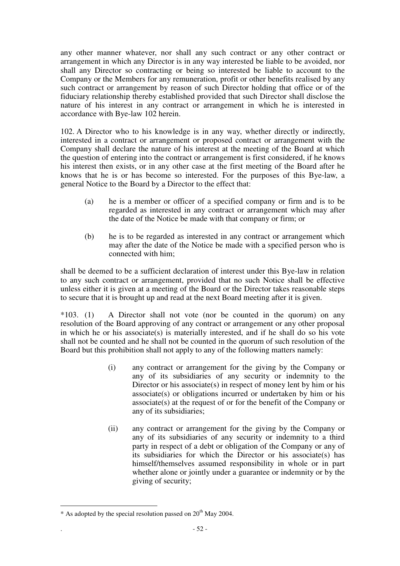any other manner whatever, nor shall any such contract or any other contract or arrangement in which any Director is in any way interested be liable to be avoided, nor shall any Director so contracting or being so interested be liable to account to the Company or the Members for any remuneration, profit or other benefits realised by any such contract or arrangement by reason of such Director holding that office or of the fiduciary relationship thereby established provided that such Director shall disclose the nature of his interest in any contract or arrangement in which he is interested in accordance with Bye-law 102 herein.

102. A Director who to his knowledge is in any way, whether directly or indirectly, interested in a contract or arrangement or proposed contract or arrangement with the Company shall declare the nature of his interest at the meeting of the Board at which the question of entering into the contract or arrangement is first considered, if he knows his interest then exists, or in any other case at the first meeting of the Board after he knows that he is or has become so interested. For the purposes of this Bye-law, a general Notice to the Board by a Director to the effect that:

- (a) he is a member or officer of a specified company or firm and is to be regarded as interested in any contract or arrangement which may after the date of the Notice be made with that company or firm; or
- (b) he is to be regarded as interested in any contract or arrangement which may after the date of the Notice be made with a specified person who is connected with him;

shall be deemed to be a sufficient declaration of interest under this Bye-law in relation to any such contract or arrangement, provided that no such Notice shall be effective unless either it is given at a meeting of the Board or the Director takes reasonable steps to secure that it is brought up and read at the next Board meeting after it is given.

\*103. (1) A Director shall not vote (nor be counted in the quorum) on any resolution of the Board approving of any contract or arrangement or any other proposal in which he or his associate(s) is materially interested, and if he shall do so his vote shall not be counted and he shall not be counted in the quorum of such resolution of the Board but this prohibition shall not apply to any of the following matters namely:

- (i) any contract or arrangement for the giving by the Company or any of its subsidiaries of any security or indemnity to the Director or his associate(s) in respect of money lent by him or his associate(s) or obligations incurred or undertaken by him or his associate(s) at the request of or for the benefit of the Company or any of its subsidiaries;
- (ii) any contract or arrangement for the giving by the Company or any of its subsidiaries of any security or indemnity to a third party in respect of a debt or obligation of the Company or any of its subsidiaries for which the Director or his associate(s) has himself/themselves assumed responsibility in whole or in part whether alone or jointly under a guarantee or indemnity or by the giving of security;

 $\overline{a}$ 

 $*$  As adopted by the special resolution passed on  $20<sup>th</sup>$  May 2004.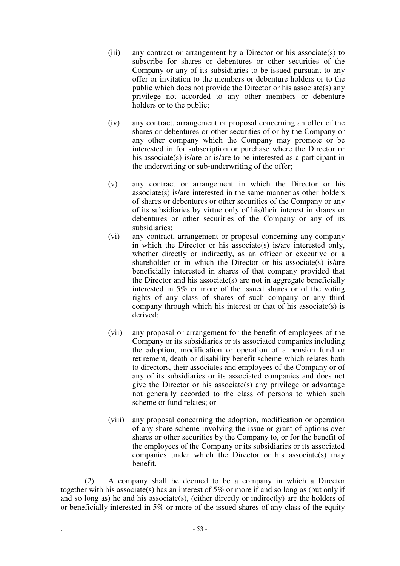- (iii) any contract or arrangement by a Director or his associate(s) to subscribe for shares or debentures or other securities of the Company or any of its subsidiaries to be issued pursuant to any offer or invitation to the members or debenture holders or to the public which does not provide the Director or his associate(s) any privilege not accorded to any other members or debenture holders or to the public;
- (iv) any contract, arrangement or proposal concerning an offer of the shares or debentures or other securities of or by the Company or any other company which the Company may promote or be interested in for subscription or purchase where the Director or his associate(s) is/are or is/are to be interested as a participant in the underwriting or sub-underwriting of the offer;
- (v) any contract or arrangement in which the Director or his associate(s) is/are interested in the same manner as other holders of shares or debentures or other securities of the Company or any of its subsidiaries by virtue only of his/their interest in shares or debentures or other securities of the Company or any of its subsidiaries;
- (vi) any contract, arrangement or proposal concerning any company in which the Director or his associate(s) is/are interested only, whether directly or indirectly, as an officer or executive or a shareholder or in which the Director or his associate(s) is/are beneficially interested in shares of that company provided that the Director and his associate(s) are not in aggregate beneficially interested in 5% or more of the issued shares or of the voting rights of any class of shares of such company or any third company through which his interest or that of his associate(s) is derived;
- (vii) any proposal or arrangement for the benefit of employees of the Company or its subsidiaries or its associated companies including the adoption, modification or operation of a pension fund or retirement, death or disability benefit scheme which relates both to directors, their associates and employees of the Company or of any of its subsidiaries or its associated companies and does not give the Director or his associate(s) any privilege or advantage not generally accorded to the class of persons to which such scheme or fund relates; or
- (viii) any proposal concerning the adoption, modification or operation of any share scheme involving the issue or grant of options over shares or other securities by the Company to, or for the benefit of the employees of the Company or its subsidiaries or its associated companies under which the Director or his associate(s) may benefit.

(2) A company shall be deemed to be a company in which a Director together with his associate(s) has an interest of 5% or more if and so long as (but only if and so long as) he and his associate(s), (either directly or indirectly) are the holders of or beneficially interested in 5% or more of the issued shares of any class of the equity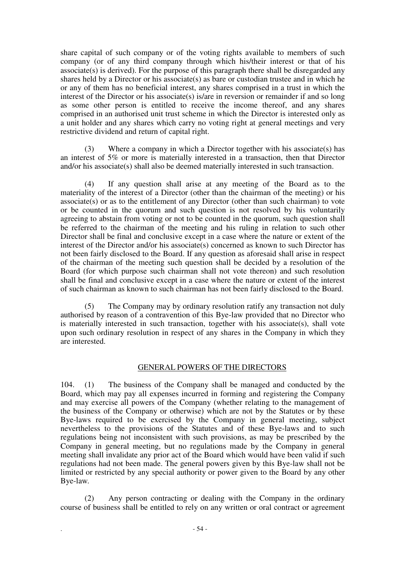share capital of such company or of the voting rights available to members of such company (or of any third company through which his/their interest or that of his associate(s) is derived). For the purpose of this paragraph there shall be disregarded any shares held by a Director or his associate(s) as bare or custodian trustee and in which he or any of them has no beneficial interest, any shares comprised in a trust in which the interest of the Director or his associate(s) is/are in reversion or remainder if and so long as some other person is entitled to receive the income thereof, and any shares comprised in an authorised unit trust scheme in which the Director is interested only as a unit holder and any shares which carry no voting right at general meetings and very restrictive dividend and return of capital right.

(3) Where a company in which a Director together with his associate(s) has an interest of 5% or more is materially interested in a transaction, then that Director and/or his associate(s) shall also be deemed materially interested in such transaction.

 (4) If any question shall arise at any meeting of the Board as to the materiality of the interest of a Director (other than the chairman of the meeting) or his associate(s) or as to the entitlement of any Director (other than such chairman) to vote or be counted in the quorum and such question is not resolved by his voluntarily agreeing to abstain from voting or not to be counted in the quorum, such question shall be referred to the chairman of the meeting and his ruling in relation to such other Director shall be final and conclusive except in a case where the nature or extent of the interest of the Director and/or his associate(s) concerned as known to such Director has not been fairly disclosed to the Board. If any question as aforesaid shall arise in respect of the chairman of the meeting such question shall be decided by a resolution of the Board (for which purpose such chairman shall not vote thereon) and such resolution shall be final and conclusive except in a case where the nature or extent of the interest of such chairman as known to such chairman has not been fairly disclosed to the Board.

 (5) The Company may by ordinary resolution ratify any transaction not duly authorised by reason of a contravention of this Bye-law provided that no Director who is materially interested in such transaction, together with his associate(s), shall vote upon such ordinary resolution in respect of any shares in the Company in which they are interested.

# GENERAL POWERS OF THE DIRECTORS

104. (1) The business of the Company shall be managed and conducted by the Board, which may pay all expenses incurred in forming and registering the Company and may exercise all powers of the Company (whether relating to the management of the business of the Company or otherwise) which are not by the Statutes or by these Bye-laws required to be exercised by the Company in general meeting, subject nevertheless to the provisions of the Statutes and of these Bye-laws and to such regulations being not inconsistent with such provisions, as may be prescribed by the Company in general meeting, but no regulations made by the Company in general meeting shall invalidate any prior act of the Board which would have been valid if such regulations had not been made. The general powers given by this Bye-law shall not be limited or restricted by any special authority or power given to the Board by any other Bye-law.

 (2) Any person contracting or dealing with the Company in the ordinary course of business shall be entitled to rely on any written or oral contract or agreement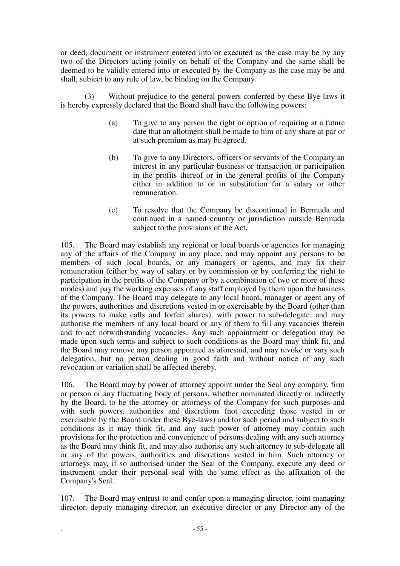or deed, document or instrument entered into or executed as the case may be by any two of the Directors acting jointly on behalf of the Company and the same shall be deemed to be validly entered into or executed by the Company as the case may be and shall, subject to any rule of law, be binding on the Company.

(3) Without prejudice to the general powers conferred by these Bye-laws it is hereby expressly declared that the Board shall have the following powers:

- (a) To give to any person the right or option of requiring at a future date that an allotment shall be made to him of any share at par or at such premium as may be agreed.
- (b) To give to any Directors, officers or servants of the Company an interest in any particular business or transaction or participation in the profits thereof or in the general profits of the Company either in addition to or in substitution for a salary or other remuneration.
- (c) To resolve that the Company be discontinued in Bermuda and continued in a named country or jurisdiction outside Bermuda subject to the provisions of the Act.

105. The Board may establish any regional or local boards or agencies for managing any of the affairs of the Company in any place, and may appoint any persons to be members of such local boards, or any managers or agents, and may fix their remuneration (either by way of salary or by commission or by conferring the right to participation in the profits of the Company or by a combination of two or more of these modes) and pay the working expenses of any staff employed by them upon the business of the Company. The Board may delegate to any local board, manager or agent any of the powers, authorities and discretions vested in or exercisable by the Board (other than its powers to make calls and forfeit shares), with power to sub-delegate, and may authorise the members of any local board or any of them to fill any vacancies therein and to act notwithstanding vacancies. Any such appointment or delegation may be made upon such terms and subject to such conditions as the Board may think fit, and the Board may remove any person appointed as aforesaid, and may revoke or vary such delegation, but no person dealing in good faith and without notice of any such revocation or variation shall be affected thereby.

106. The Board may by power of attorney appoint under the Seal any company, firm or person or any fluctuating body of persons, whether nominated directly or indirectly by the Board, to be the attorney or attorneys of the Company for such purposes and with such powers, authorities and discretions (not exceeding those vested in or exercisable by the Board under these Bye-laws) and for such period and subject to such conditions as it may think fit, and any such power of attorney may contain such provisions for the protection and convenience of persons dealing with any such attorney as the Board may think fit, and may also authorise any such attorney to sub-delegate all or any of the powers, authorities and discretions vested in him. Such attorney or attorneys may, if so authorised under the Seal of the Company, execute any deed or instrument under their personal seal with the same effect as the affixation of the Company's Seal.

107. The Board may entrust to and confer upon a managing director, joint managing director, deputy managing director, an executive director or any Director any of the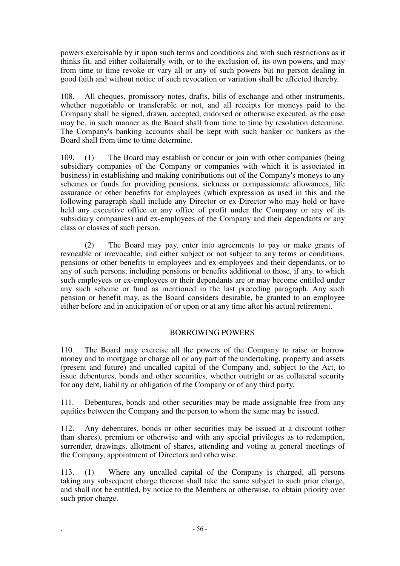powers exercisable by it upon such terms and conditions and with such restrictions as it thinks fit, and either collaterally with, or to the exclusion of, its own powers, and may from time to time revoke or vary all or any of such powers but no person dealing in good faith and without notice of such revocation or variation shall be affected thereby.

108. All cheques, promissory notes, drafts, bills of exchange and other instruments, whether negotiable or transferable or not, and all receipts for moneys paid to the Company shall be signed, drawn, accepted, endorsed or otherwise executed, as the case may be, in such manner as the Board shall from time to time by resolution determine. The Company's banking accounts shall be kept with such banker or bankers as the Board shall from time to time determine.

109. (1) The Board may establish or concur or join with other companies (being subsidiary companies of the Company or companies with which it is associated in business) in establishing and making contributions out of the Company's moneys to any schemes or funds for providing pensions, sickness or compassionate allowances, life assurance or other benefits for employees (which expression as used in this and the following paragraph shall include any Director or ex-Director who may hold or have held any executive office or any office of profit under the Company or any of its subsidiary companies) and ex-employees of the Company and their dependants or any class or classes of such person.

(2) The Board may pay, enter into agreements to pay or make grants of revocable or irrevocable, and either subject or not subject to any terms or conditions, pensions or other benefits to employees and ex-employees and their dependants, or to any of such persons, including pensions or benefits additional to those, if any, to which such employees or ex-employees or their dependants are or may become entitled under any such scheme or fund as mentioned in the last preceding paragraph. Any such pension or benefit may, as the Board considers desirable, be granted to an employee either before and in anticipation of or upon or at any time after his actual retirement.

# BORROWING POWERS

110. The Board may exercise all the powers of the Company to raise or borrow money and to mortgage or charge all or any part of the undertaking, property and assets (present and future) and uncalled capital of the Company and, subject to the Act, to issue debentures, bonds and other securities, whether outright or as collateral security for any debt, liability or obligation of the Company or of any third party.

111. Debentures, bonds and other securities may be made assignable free from any equities between the Company and the person to whom the same may be issued.

112. Any debentures, bonds or other securities may be issued at a discount (other than shares), premium or otherwise and with any special privileges as to redemption, surrender, drawings, allotment of shares, attending and voting at general meetings of the Company, appointment of Directors and otherwise.

113. (1) Where any uncalled capital of the Company is charged, all persons taking any subsequent charge thereon shall take the same subject to such prior charge, and shall not be entitled, by notice to the Members or otherwise, to obtain priority over such prior charge.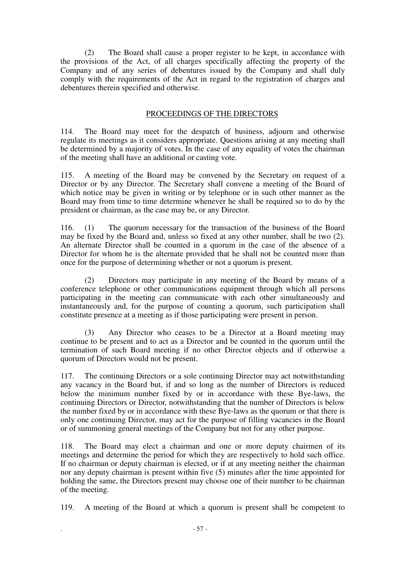(2) The Board shall cause a proper register to be kept, in accordance with the provisions of the Act, of all charges specifically affecting the property of the Company and of any series of debentures issued by the Company and shall duly comply with the requirements of the Act in regard to the registration of charges and debentures therein specified and otherwise.

# PROCEEDINGS OF THE DIRECTORS

114. The Board may meet for the despatch of business, adjourn and otherwise regulate its meetings as it considers appropriate. Questions arising at any meeting shall be determined by a majority of votes. In the case of any equality of votes the chairman of the meeting shall have an additional or casting vote.

115. A meeting of the Board may be convened by the Secretary on request of a Director or by any Director. The Secretary shall convene a meeting of the Board of which notice may be given in writing or by telephone or in such other manner as the Board may from time to time determine whenever he shall be required so to do by the president or chairman, as the case may be, or any Director.

116. (1) The quorum necessary for the transaction of the business of the Board may be fixed by the Board and, unless so fixed at any other number, shall be two (2). An alternate Director shall be counted in a quorum in the case of the absence of a Director for whom he is the alternate provided that he shall not be counted more than once for the purpose of determining whether or not a quorum is present.

(2) Directors may participate in any meeting of the Board by means of a conference telephone or other communications equipment through which all persons participating in the meeting can communicate with each other simultaneously and instantaneously and, for the purpose of counting a quorum, such participation shall constitute presence at a meeting as if those participating were present in person.

(3) Any Director who ceases to be a Director at a Board meeting may continue to be present and to act as a Director and be counted in the quorum until the termination of such Board meeting if no other Director objects and if otherwise a quorum of Directors would not be present.

117. The continuing Directors or a sole continuing Director may act notwithstanding any vacancy in the Board but, if and so long as the number of Directors is reduced below the minimum number fixed by or in accordance with these Bye-laws, the continuing Directors or Director, notwithstanding that the number of Directors is below the number fixed by or in accordance with these Bye-laws as the quorum or that there is only one continuing Director, may act for the purpose of filling vacancies in the Board or of summoning general meetings of the Company but not for any other purpose.

118. The Board may elect a chairman and one or more deputy chairmen of its meetings and determine the period for which they are respectively to hold such office. If no chairman or deputy chairman is elected, or if at any meeting neither the chairman nor any deputy chairman is present within five (5) minutes after the time appointed for holding the same, the Directors present may choose one of their number to be chairman of the meeting.

119. A meeting of the Board at which a quorum is present shall be competent to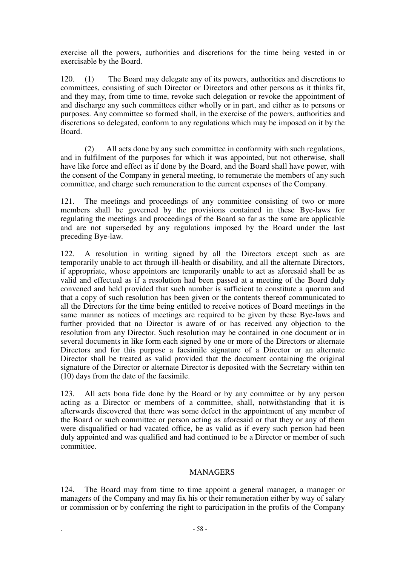exercise all the powers, authorities and discretions for the time being vested in or exercisable by the Board.

120. (1) The Board may delegate any of its powers, authorities and discretions to committees, consisting of such Director or Directors and other persons as it thinks fit, and they may, from time to time, revoke such delegation or revoke the appointment of and discharge any such committees either wholly or in part, and either as to persons or purposes. Any committee so formed shall, in the exercise of the powers, authorities and discretions so delegated, conform to any regulations which may be imposed on it by the Board.

(2) All acts done by any such committee in conformity with such regulations, and in fulfilment of the purposes for which it was appointed, but not otherwise, shall have like force and effect as if done by the Board, and the Board shall have power, with the consent of the Company in general meeting, to remunerate the members of any such committee, and charge such remuneration to the current expenses of the Company.

121. The meetings and proceedings of any committee consisting of two or more members shall be governed by the provisions contained in these Bye-laws for regulating the meetings and proceedings of the Board so far as the same are applicable and are not superseded by any regulations imposed by the Board under the last preceding Bye-law.

122. A resolution in writing signed by all the Directors except such as are temporarily unable to act through ill-health or disability, and all the alternate Directors, if appropriate, whose appointors are temporarily unable to act as aforesaid shall be as valid and effectual as if a resolution had been passed at a meeting of the Board duly convened and held provided that such number is sufficient to constitute a quorum and that a copy of such resolution has been given or the contents thereof communicated to all the Directors for the time being entitled to receive notices of Board meetings in the same manner as notices of meetings are required to be given by these Bye-laws and further provided that no Director is aware of or has received any objection to the resolution from any Director. Such resolution may be contained in one document or in several documents in like form each signed by one or more of the Directors or alternate Directors and for this purpose a facsimile signature of a Director or an alternate Director shall be treated as valid provided that the document containing the original signature of the Director or alternate Director is deposited with the Secretary within ten (10) days from the date of the facsimile.

123. All acts bona fide done by the Board or by any committee or by any person acting as a Director or members of a committee, shall, notwithstanding that it is afterwards discovered that there was some defect in the appointment of any member of the Board or such committee or person acting as aforesaid or that they or any of them were disqualified or had vacated office, be as valid as if every such person had been duly appointed and was qualified and had continued to be a Director or member of such committee.

## MANAGERS

124. The Board may from time to time appoint a general manager, a manager or managers of the Company and may fix his or their remuneration either by way of salary or commission or by conferring the right to participation in the profits of the Company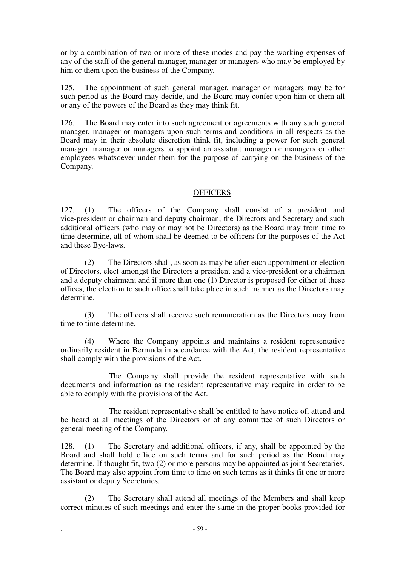or by a combination of two or more of these modes and pay the working expenses of any of the staff of the general manager, manager or managers who may be employed by him or them upon the business of the Company.

125. The appointment of such general manager, manager or managers may be for such period as the Board may decide, and the Board may confer upon him or them all or any of the powers of the Board as they may think fit.

126. The Board may enter into such agreement or agreements with any such general manager, manager or managers upon such terms and conditions in all respects as the Board may in their absolute discretion think fit, including a power for such general manager, manager or managers to appoint an assistant manager or managers or other employees whatsoever under them for the purpose of carrying on the business of the Company.

# **OFFICERS**

127. (1) The officers of the Company shall consist of a president and vice-president or chairman and deputy chairman, the Directors and Secretary and such additional officers (who may or may not be Directors) as the Board may from time to time determine, all of whom shall be deemed to be officers for the purposes of the Act and these Bye-laws.

(2) The Directors shall, as soon as may be after each appointment or election of Directors, elect amongst the Directors a president and a vice-president or a chairman and a deputy chairman; and if more than one (1) Director is proposed for either of these offices, the election to such office shall take place in such manner as the Directors may determine.

(3) The officers shall receive such remuneration as the Directors may from time to time determine.

(4) Where the Company appoints and maintains a resident representative ordinarily resident in Bermuda in accordance with the Act, the resident representative shall comply with the provisions of the Act.

The Company shall provide the resident representative with such documents and information as the resident representative may require in order to be able to comply with the provisions of the Act.

The resident representative shall be entitled to have notice of, attend and be heard at all meetings of the Directors or of any committee of such Directors or general meeting of the Company.

128. (1) The Secretary and additional officers, if any, shall be appointed by the Board and shall hold office on such terms and for such period as the Board may determine. If thought fit, two (2) or more persons may be appointed as joint Secretaries. The Board may also appoint from time to time on such terms as it thinks fit one or more assistant or deputy Secretaries.

(2) The Secretary shall attend all meetings of the Members and shall keep correct minutes of such meetings and enter the same in the proper books provided for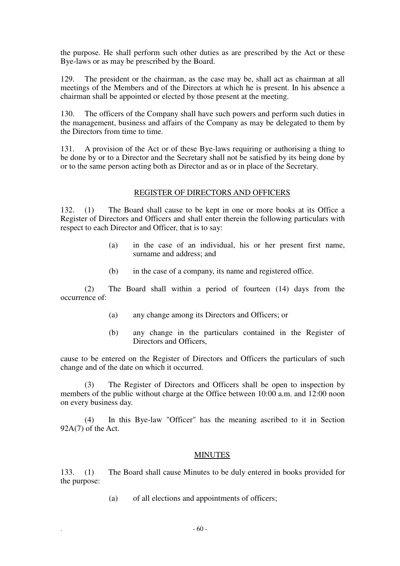the purpose. He shall perform such other duties as are prescribed by the Act or these Bye-laws or as may be prescribed by the Board.

129. The president or the chairman, as the case may be, shall act as chairman at all meetings of the Members and of the Directors at which he is present. In his absence a chairman shall be appointed or elected by those present at the meeting.

130. The officers of the Company shall have such powers and perform such duties in the management, business and affairs of the Company as may be delegated to them by the Directors from time to time.

131. A provision of the Act or of these Bye-laws requiring or authorising a thing to be done by or to a Director and the Secretary shall not be satisfied by its being done by or to the same person acting both as Director and as or in place of the Secretary.

## REGISTER OF DIRECTORS AND OFFICERS

132. (1) The Board shall cause to be kept in one or more books at its Office a Register of Directors and Officers and shall enter therein the following particulars with respect to each Director and Officer, that is to say:

- (a) in the case of an individual, his or her present first name, surname and address; and
- (b) in the case of a company, its name and registered office.

 (2) The Board shall within a period of fourteen (14) days from the occurrence of:

- (a) any change among its Directors and Officers; or
- (b) any change in the particulars contained in the Register of Directors and Officers,

cause to be entered on the Register of Directors and Officers the particulars of such change and of the date on which it occurred.

(3) The Register of Directors and Officers shall be open to inspection by members of the public without charge at the Office between 10:00 a.m. and 12:00 noon on every business day.

(4) In this Bye-law "Officer" has the meaning ascribed to it in Section 92A(7) of the Act.

#### **MINUTES**

133. (1) The Board shall cause Minutes to be duly entered in books provided for the purpose:

(a) of all elections and appointments of officers;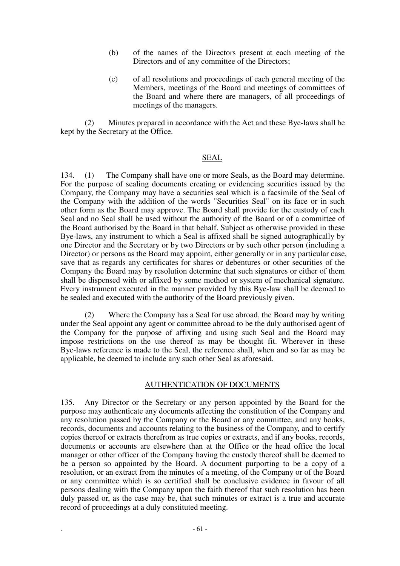- (b) of the names of the Directors present at each meeting of the Directors and of any committee of the Directors;
- (c) of all resolutions and proceedings of each general meeting of the Members, meetings of the Board and meetings of committees of the Board and where there are managers, of all proceedings of meetings of the managers.

(2) Minutes prepared in accordance with the Act and these Bye-laws shall be kept by the Secretary at the Office.

#### SEAL

134. (1) The Company shall have one or more Seals, as the Board may determine. For the purpose of sealing documents creating or evidencing securities issued by the Company, the Company may have a securities seal which is a facsimile of the Seal of the Company with the addition of the words "Securities Seal" on its face or in such other form as the Board may approve. The Board shall provide for the custody of each Seal and no Seal shall be used without the authority of the Board or of a committee of the Board authorised by the Board in that behalf. Subject as otherwise provided in these Bye-laws, any instrument to which a Seal is affixed shall be signed autographically by one Director and the Secretary or by two Directors or by such other person (including a Director) or persons as the Board may appoint, either generally or in any particular case, save that as regards any certificates for shares or debentures or other securities of the Company the Board may by resolution determine that such signatures or either of them shall be dispensed with or affixed by some method or system of mechanical signature. Every instrument executed in the manner provided by this Bye-law shall be deemed to be sealed and executed with the authority of the Board previously given.

Where the Company has a Seal for use abroad, the Board may by writing under the Seal appoint any agent or committee abroad to be the duly authorised agent of the Company for the purpose of affixing and using such Seal and the Board may impose restrictions on the use thereof as may be thought fit. Wherever in these Bye-laws reference is made to the Seal, the reference shall, when and so far as may be applicable, be deemed to include any such other Seal as aforesaid.

## AUTHENTICATION OF DOCUMENTS

135. Any Director or the Secretary or any person appointed by the Board for the purpose may authenticate any documents affecting the constitution of the Company and any resolution passed by the Company or the Board or any committee, and any books, records, documents and accounts relating to the business of the Company, and to certify copies thereof or extracts therefrom as true copies or extracts, and if any books, records, documents or accounts are elsewhere than at the Office or the head office the local manager or other officer of the Company having the custody thereof shall be deemed to be a person so appointed by the Board. A document purporting to be a copy of a resolution, or an extract from the minutes of a meeting, of the Company or of the Board or any committee which is so certified shall be conclusive evidence in favour of all persons dealing with the Company upon the faith thereof that such resolution has been duly passed or, as the case may be, that such minutes or extract is a true and accurate record of proceedings at a duly constituted meeting.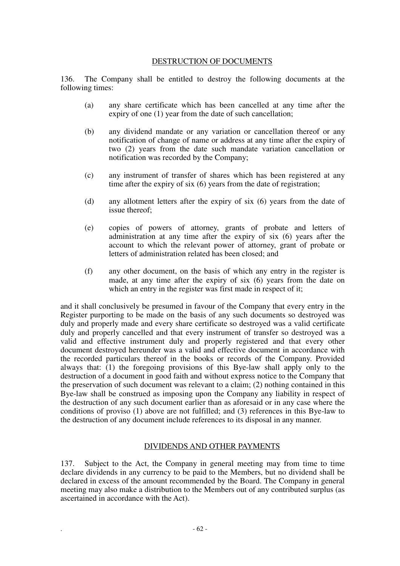# DESTRUCTION OF DOCUMENTS

136. The Company shall be entitled to destroy the following documents at the following times:

- (a) any share certificate which has been cancelled at any time after the expiry of one (1) year from the date of such cancellation;
- (b) any dividend mandate or any variation or cancellation thereof or any notification of change of name or address at any time after the expiry of two (2) years from the date such mandate variation cancellation or notification was recorded by the Company;
- (c) any instrument of transfer of shares which has been registered at any time after the expiry of six (6) years from the date of registration;
- (d) any allotment letters after the expiry of six (6) years from the date of issue thereof;
- (e) copies of powers of attorney, grants of probate and letters of administration at any time after the expiry of six (6) years after the account to which the relevant power of attorney, grant of probate or letters of administration related has been closed; and
- (f) any other document, on the basis of which any entry in the register is made, at any time after the expiry of six (6) years from the date on which an entry in the register was first made in respect of it;

and it shall conclusively be presumed in favour of the Company that every entry in the Register purporting to be made on the basis of any such documents so destroyed was duly and properly made and every share certificate so destroyed was a valid certificate duly and properly cancelled and that every instrument of transfer so destroyed was a valid and effective instrument duly and properly registered and that every other document destroyed hereunder was a valid and effective document in accordance with the recorded particulars thereof in the books or records of the Company. Provided always that: (1) the foregoing provisions of this Bye-law shall apply only to the destruction of a document in good faith and without express notice to the Company that the preservation of such document was relevant to a claim; (2) nothing contained in this Bye-law shall be construed as imposing upon the Company any liability in respect of the destruction of any such document earlier than as aforesaid or in any case where the conditions of proviso (1) above are not fulfilled; and (3) references in this Bye-law to the destruction of any document include references to its disposal in any manner.

# DIVIDENDS AND OTHER PAYMENTS

137. Subject to the Act, the Company in general meeting may from time to time declare dividends in any currency to be paid to the Members, but no dividend shall be declared in excess of the amount recommended by the Board. The Company in general meeting may also make a distribution to the Members out of any contributed surplus (as ascertained in accordance with the Act).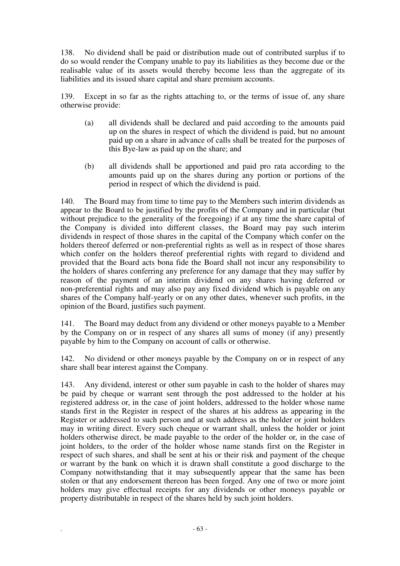138. No dividend shall be paid or distribution made out of contributed surplus if to do so would render the Company unable to pay its liabilities as they become due or the realisable value of its assets would thereby become less than the aggregate of its liabilities and its issued share capital and share premium accounts.

139. Except in so far as the rights attaching to, or the terms of issue of, any share otherwise provide:

- (a) all dividends shall be declared and paid according to the amounts paid up on the shares in respect of which the dividend is paid, but no amount paid up on a share in advance of calls shall be treated for the purposes of this Bye-law as paid up on the share; and
- (b) all dividends shall be apportioned and paid pro rata according to the amounts paid up on the shares during any portion or portions of the period in respect of which the dividend is paid.

140. The Board may from time to time pay to the Members such interim dividends as appear to the Board to be justified by the profits of the Company and in particular (but without prejudice to the generality of the foregoing) if at any time the share capital of the Company is divided into different classes, the Board may pay such interim dividends in respect of those shares in the capital of the Company which confer on the holders thereof deferred or non-preferential rights as well as in respect of those shares which confer on the holders thereof preferential rights with regard to dividend and provided that the Board acts bona fide the Board shall not incur any responsibility to the holders of shares conferring any preference for any damage that they may suffer by reason of the payment of an interim dividend on any shares having deferred or non-preferential rights and may also pay any fixed dividend which is payable on any shares of the Company half-yearly or on any other dates, whenever such profits, in the opinion of the Board, justifies such payment.

141. The Board may deduct from any dividend or other moneys payable to a Member by the Company on or in respect of any shares all sums of money (if any) presently payable by him to the Company on account of calls or otherwise.

142. No dividend or other moneys payable by the Company on or in respect of any share shall bear interest against the Company.

143. Any dividend, interest or other sum payable in cash to the holder of shares may be paid by cheque or warrant sent through the post addressed to the holder at his registered address or, in the case of joint holders, addressed to the holder whose name stands first in the Register in respect of the shares at his address as appearing in the Register or addressed to such person and at such address as the holder or joint holders may in writing direct. Every such cheque or warrant shall, unless the holder or joint holders otherwise direct, be made payable to the order of the holder or, in the case of joint holders, to the order of the holder whose name stands first on the Register in respect of such shares, and shall be sent at his or their risk and payment of the cheque or warrant by the bank on which it is drawn shall constitute a good discharge to the Company notwithstanding that it may subsequently appear that the same has been stolen or that any endorsement thereon has been forged. Any one of two or more joint holders may give effectual receipts for any dividends or other moneys payable or property distributable in respect of the shares held by such joint holders.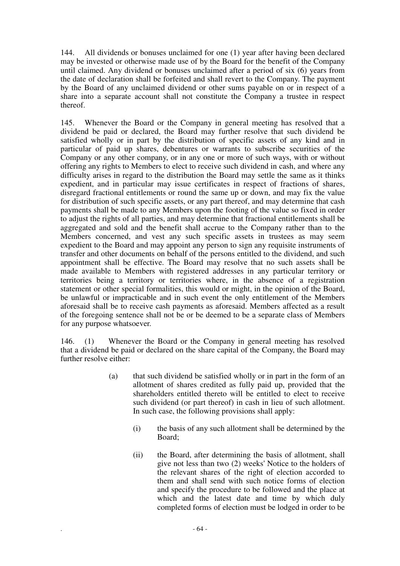144. All dividends or bonuses unclaimed for one (1) year after having been declared may be invested or otherwise made use of by the Board for the benefit of the Company until claimed. Any dividend or bonuses unclaimed after a period of six (6) years from the date of declaration shall be forfeited and shall revert to the Company. The payment by the Board of any unclaimed dividend or other sums payable on or in respect of a share into a separate account shall not constitute the Company a trustee in respect thereof.

145. Whenever the Board or the Company in general meeting has resolved that a dividend be paid or declared, the Board may further resolve that such dividend be satisfied wholly or in part by the distribution of specific assets of any kind and in particular of paid up shares, debentures or warrants to subscribe securities of the Company or any other company, or in any one or more of such ways, with or without offering any rights to Members to elect to receive such dividend in cash, and where any difficulty arises in regard to the distribution the Board may settle the same as it thinks expedient, and in particular may issue certificates in respect of fractions of shares, disregard fractional entitlements or round the same up or down, and may fix the value for distribution of such specific assets, or any part thereof, and may determine that cash payments shall be made to any Members upon the footing of the value so fixed in order to adjust the rights of all parties, and may determine that fractional entitlements shall be aggregated and sold and the benefit shall accrue to the Company rather than to the Members concerned, and vest any such specific assets in trustees as may seem expedient to the Board and may appoint any person to sign any requisite instruments of transfer and other documents on behalf of the persons entitled to the dividend, and such appointment shall be effective. The Board may resolve that no such assets shall be made available to Members with registered addresses in any particular territory or territories being a territory or territories where, in the absence of a registration statement or other special formalities, this would or might, in the opinion of the Board, be unlawful or impracticable and in such event the only entitlement of the Members aforesaid shall be to receive cash payments as aforesaid. Members affected as a result of the foregoing sentence shall not be or be deemed to be a separate class of Members for any purpose whatsoever.

146. (1) Whenever the Board or the Company in general meeting has resolved that a dividend be paid or declared on the share capital of the Company, the Board may further resolve either:

- (a) that such dividend be satisfied wholly or in part in the form of an allotment of shares credited as fully paid up, provided that the shareholders entitled thereto will be entitled to elect to receive such dividend (or part thereof) in cash in lieu of such allotment. In such case, the following provisions shall apply:
	- (i) the basis of any such allotment shall be determined by the Board;
	- (ii) the Board, after determining the basis of allotment, shall give not less than two (2) weeks' Notice to the holders of the relevant shares of the right of election accorded to them and shall send with such notice forms of election and specify the procedure to be followed and the place at which and the latest date and time by which duly completed forms of election must be lodged in order to be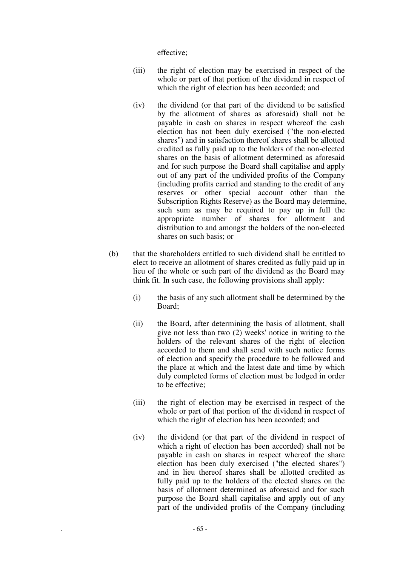effective;

- (iii) the right of election may be exercised in respect of the whole or part of that portion of the dividend in respect of which the right of election has been accorded; and
- (iv) the dividend (or that part of the dividend to be satisfied by the allotment of shares as aforesaid) shall not be payable in cash on shares in respect whereof the cash election has not been duly exercised ("the non-elected shares") and in satisfaction thereof shares shall be allotted credited as fully paid up to the holders of the non-elected shares on the basis of allotment determined as aforesaid and for such purpose the Board shall capitalise and apply out of any part of the undivided profits of the Company (including profits carried and standing to the credit of any reserves or other special account other than the Subscription Rights Reserve) as the Board may determine, such sum as may be required to pay up in full the appropriate number of shares for allotment and distribution to and amongst the holders of the non-elected shares on such basis; or
- (b) that the shareholders entitled to such dividend shall be entitled to elect to receive an allotment of shares credited as fully paid up in lieu of the whole or such part of the dividend as the Board may think fit. In such case, the following provisions shall apply:
	- (i) the basis of any such allotment shall be determined by the Board;
	- (ii) the Board, after determining the basis of allotment, shall give not less than two (2) weeks' notice in writing to the holders of the relevant shares of the right of election accorded to them and shall send with such notice forms of election and specify the procedure to be followed and the place at which and the latest date and time by which duly completed forms of election must be lodged in order to be effective;
	- (iii) the right of election may be exercised in respect of the whole or part of that portion of the dividend in respect of which the right of election has been accorded; and
	- (iv) the dividend (or that part of the dividend in respect of which a right of election has been accorded) shall not be payable in cash on shares in respect whereof the share election has been duly exercised ("the elected shares") and in lieu thereof shares shall be allotted credited as fully paid up to the holders of the elected shares on the basis of allotment determined as aforesaid and for such purpose the Board shall capitalise and apply out of any part of the undivided profits of the Company (including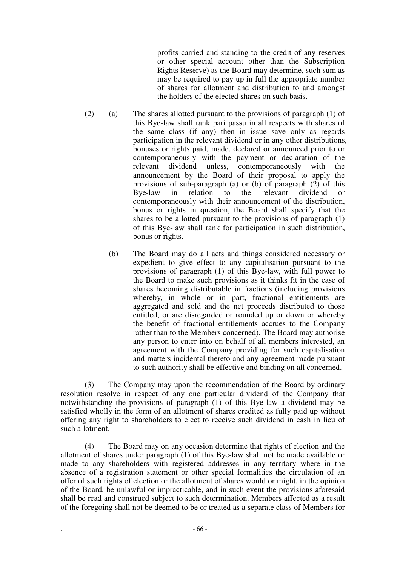profits carried and standing to the credit of any reserves or other special account other than the Subscription Rights Reserve) as the Board may determine, such sum as may be required to pay up in full the appropriate number of shares for allotment and distribution to and amongst the holders of the elected shares on such basis.

- (2) (a) The shares allotted pursuant to the provisions of paragraph (1) of this Bye-law shall rank pari passu in all respects with shares of the same class (if any) then in issue save only as regards participation in the relevant dividend or in any other distributions, bonuses or rights paid, made, declared or announced prior to or contemporaneously with the payment or declaration of the relevant dividend unless, contemporaneously with the relevant dividend unless, contemporaneously with the announcement by the Board of their proposal to apply the provisions of sub-paragraph (a) or (b) of paragraph (2) of this Bye-law in relation to the relevant dividend or contemporaneously with their announcement of the distribution, bonus or rights in question, the Board shall specify that the shares to be allotted pursuant to the provisions of paragraph (1) of this Bye-law shall rank for participation in such distribution, bonus or rights.
	- (b) The Board may do all acts and things considered necessary or expedient to give effect to any capitalisation pursuant to the provisions of paragraph (1) of this Bye-law, with full power to the Board to make such provisions as it thinks fit in the case of shares becoming distributable in fractions (including provisions whereby, in whole or in part, fractional entitlements are aggregated and sold and the net proceeds distributed to those entitled, or are disregarded or rounded up or down or whereby the benefit of fractional entitlements accrues to the Company rather than to the Members concerned). The Board may authorise any person to enter into on behalf of all members interested, an agreement with the Company providing for such capitalisation and matters incidental thereto and any agreement made pursuant to such authority shall be effective and binding on all concerned.

(3) The Company may upon the recommendation of the Board by ordinary resolution resolve in respect of any one particular dividend of the Company that notwithstanding the provisions of paragraph (1) of this Bye-law a dividend may be satisfied wholly in the form of an allotment of shares credited as fully paid up without offering any right to shareholders to elect to receive such dividend in cash in lieu of such allotment.

(4) The Board may on any occasion determine that rights of election and the allotment of shares under paragraph (1) of this Bye-law shall not be made available or made to any shareholders with registered addresses in any territory where in the absence of a registration statement or other special formalities the circulation of an offer of such rights of election or the allotment of shares would or might, in the opinion of the Board, be unlawful or impracticable, and in such event the provisions aforesaid shall be read and construed subject to such determination. Members affected as a result of the foregoing shall not be deemed to be or treated as a separate class of Members for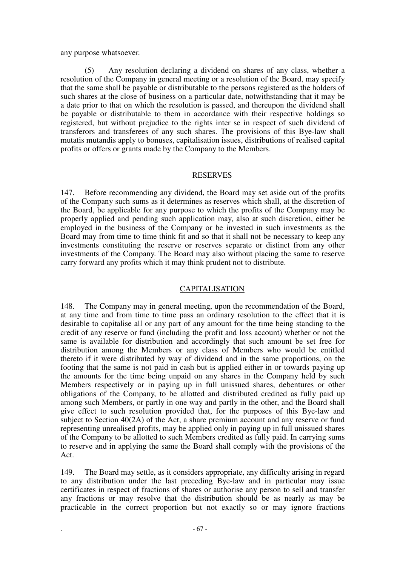any purpose whatsoever.

(5) Any resolution declaring a dividend on shares of any class, whether a resolution of the Company in general meeting or a resolution of the Board, may specify that the same shall be payable or distributable to the persons registered as the holders of such shares at the close of business on a particular date, notwithstanding that it may be a date prior to that on which the resolution is passed, and thereupon the dividend shall be payable or distributable to them in accordance with their respective holdings so registered, but without prejudice to the rights inter se in respect of such dividend of transferors and transferees of any such shares. The provisions of this Bye-law shall mutatis mutandis apply to bonuses, capitalisation issues, distributions of realised capital profits or offers or grants made by the Company to the Members.

#### RESERVES

147. Before recommending any dividend, the Board may set aside out of the profits of the Company such sums as it determines as reserves which shall, at the discretion of the Board, be applicable for any purpose to which the profits of the Company may be properly applied and pending such application may, also at such discretion, either be employed in the business of the Company or be invested in such investments as the Board may from time to time think fit and so that it shall not be necessary to keep any investments constituting the reserve or reserves separate or distinct from any other investments of the Company. The Board may also without placing the same to reserve carry forward any profits which it may think prudent not to distribute.

## CAPITALISATION

148. The Company may in general meeting, upon the recommendation of the Board, at any time and from time to time pass an ordinary resolution to the effect that it is desirable to capitalise all or any part of any amount for the time being standing to the credit of any reserve or fund (including the profit and loss account) whether or not the same is available for distribution and accordingly that such amount be set free for distribution among the Members or any class of Members who would be entitled thereto if it were distributed by way of dividend and in the same proportions, on the footing that the same is not paid in cash but is applied either in or towards paying up the amounts for the time being unpaid on any shares in the Company held by such Members respectively or in paying up in full unissued shares, debentures or other obligations of the Company, to be allotted and distributed credited as fully paid up among such Members, or partly in one way and partly in the other, and the Board shall give effect to such resolution provided that, for the purposes of this Bye-law and subject to Section 40(2A) of the Act, a share premium account and any reserve or fund representing unrealised profits, may be applied only in paying up in full unissued shares of the Company to be allotted to such Members credited as fully paid. In carrying sums to reserve and in applying the same the Board shall comply with the provisions of the Act.

149. The Board may settle, as it considers appropriate, any difficulty arising in regard to any distribution under the last preceding Bye-law and in particular may issue certificates in respect of fractions of shares or authorise any person to sell and transfer any fractions or may resolve that the distribution should be as nearly as may be practicable in the correct proportion but not exactly so or may ignore fractions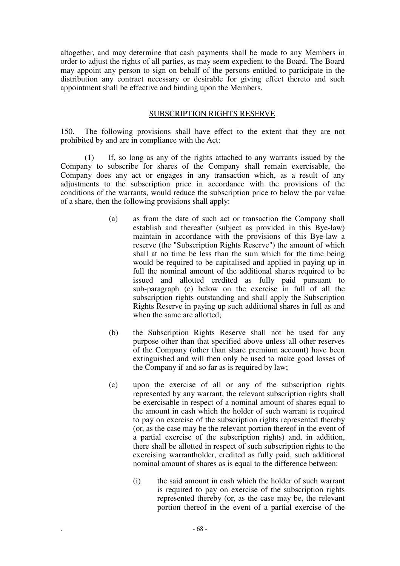altogether, and may determine that cash payments shall be made to any Members in order to adjust the rights of all parties, as may seem expedient to the Board. The Board may appoint any person to sign on behalf of the persons entitled to participate in the distribution any contract necessary or desirable for giving effect thereto and such appointment shall be effective and binding upon the Members.

# SUBSCRIPTION RIGHTS RESERVE

150. The following provisions shall have effect to the extent that they are not prohibited by and are in compliance with the Act:

(1) If, so long as any of the rights attached to any warrants issued by the Company to subscribe for shares of the Company shall remain exercisable, the Company does any act or engages in any transaction which, as a result of any adjustments to the subscription price in accordance with the provisions of the conditions of the warrants, would reduce the subscription price to below the par value of a share, then the following provisions shall apply:

- (a) as from the date of such act or transaction the Company shall establish and thereafter (subject as provided in this Bye-law) maintain in accordance with the provisions of this Bye-law a reserve (the "Subscription Rights Reserve") the amount of which shall at no time be less than the sum which for the time being would be required to be capitalised and applied in paying up in full the nominal amount of the additional shares required to be issued and allotted credited as fully paid pursuant to sub-paragraph (c) below on the exercise in full of all the subscription rights outstanding and shall apply the Subscription Rights Reserve in paying up such additional shares in full as and when the same are allotted;
- (b) the Subscription Rights Reserve shall not be used for any purpose other than that specified above unless all other reserves of the Company (other than share premium account) have been extinguished and will then only be used to make good losses of the Company if and so far as is required by law;
- (c) upon the exercise of all or any of the subscription rights represented by any warrant, the relevant subscription rights shall be exercisable in respect of a nominal amount of shares equal to the amount in cash which the holder of such warrant is required to pay on exercise of the subscription rights represented thereby (or, as the case may be the relevant portion thereof in the event of a partial exercise of the subscription rights) and, in addition, there shall be allotted in respect of such subscription rights to the exercising warrantholder, credited as fully paid, such additional nominal amount of shares as is equal to the difference between:
	- (i) the said amount in cash which the holder of such warrant is required to pay on exercise of the subscription rights represented thereby (or, as the case may be, the relevant portion thereof in the event of a partial exercise of the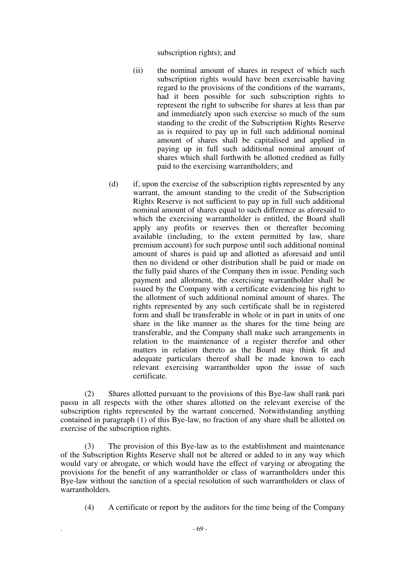subscription rights); and

- (ii) the nominal amount of shares in respect of which such subscription rights would have been exercisable having regard to the provisions of the conditions of the warrants, had it been possible for such subscription rights to represent the right to subscribe for shares at less than par and immediately upon such exercise so much of the sum standing to the credit of the Subscription Rights Reserve as is required to pay up in full such additional nominal amount of shares shall be capitalised and applied in paying up in full such additional nominal amount of shares which shall forthwith be allotted credited as fully paid to the exercising warrantholders; and
- (d) if, upon the exercise of the subscription rights represented by any warrant, the amount standing to the credit of the Subscription Rights Reserve is not sufficient to pay up in full such additional nominal amount of shares equal to such difference as aforesaid to which the exercising warrantholder is entitled, the Board shall apply any profits or reserves then or thereafter becoming available (including, to the extent permitted by law, share premium account) for such purpose until such additional nominal amount of shares is paid up and allotted as aforesaid and until then no dividend or other distribution shall be paid or made on the fully paid shares of the Company then in issue. Pending such payment and allotment, the exercising warrantholder shall be issued by the Company with a certificate evidencing his right to the allotment of such additional nominal amount of shares. The rights represented by any such certificate shall be in registered form and shall be transferable in whole or in part in units of one share in the like manner as the shares for the time being are transferable, and the Company shall make such arrangements in relation to the maintenance of a register therefor and other matters in relation thereto as the Board may think fit and adequate particulars thereof shall be made known to each relevant exercising warrantholder upon the issue of such certificate.

(2) Shares allotted pursuant to the provisions of this Bye-law shall rank pari passu in all respects with the other shares allotted on the relevant exercise of the subscription rights represented by the warrant concerned. Notwithstanding anything contained in paragraph (1) of this Bye-law, no fraction of any share shall be allotted on exercise of the subscription rights.

(3) The provision of this Bye-law as to the establishment and maintenance of the Subscription Rights Reserve shall not be altered or added to in any way which would vary or abrogate, or which would have the effect of varying or abrogating the provisions for the benefit of any warrantholder or class of warrantholders under this Bye-law without the sanction of a special resolution of such warrantholders or class of warrantholders.

(4) A certificate or report by the auditors for the time being of the Company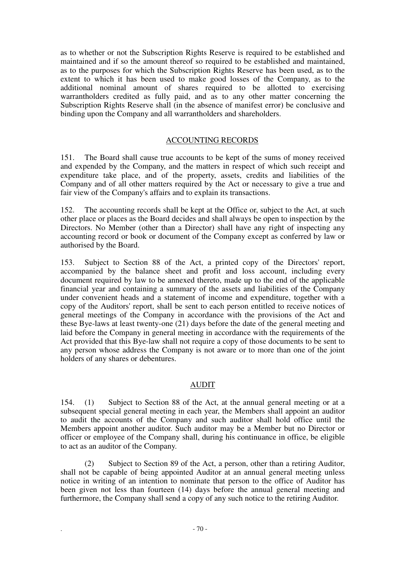as to whether or not the Subscription Rights Reserve is required to be established and maintained and if so the amount thereof so required to be established and maintained, as to the purposes for which the Subscription Rights Reserve has been used, as to the extent to which it has been used to make good losses of the Company, as to the additional nominal amount of shares required to be allotted to exercising warrantholders credited as fully paid, and as to any other matter concerning the Subscription Rights Reserve shall (in the absence of manifest error) be conclusive and binding upon the Company and all warrantholders and shareholders.

# ACCOUNTING RECORDS

151. The Board shall cause true accounts to be kept of the sums of money received and expended by the Company, and the matters in respect of which such receipt and expenditure take place, and of the property, assets, credits and liabilities of the Company and of all other matters required by the Act or necessary to give a true and fair view of the Company's affairs and to explain its transactions.

152. The accounting records shall be kept at the Office or, subject to the Act, at such other place or places as the Board decides and shall always be open to inspection by the Directors. No Member (other than a Director) shall have any right of inspecting any accounting record or book or document of the Company except as conferred by law or authorised by the Board.

153. Subject to Section 88 of the Act, a printed copy of the Directors' report, accompanied by the balance sheet and profit and loss account, including every document required by law to be annexed thereto, made up to the end of the applicable financial year and containing a summary of the assets and liabilities of the Company under convenient heads and a statement of income and expenditure, together with a copy of the Auditors' report, shall be sent to each person entitled to receive notices of general meetings of the Company in accordance with the provisions of the Act and these Bye-laws at least twenty-one (21) days before the date of the general meeting and laid before the Company in general meeting in accordance with the requirements of the Act provided that this Bye-law shall not require a copy of those documents to be sent to any person whose address the Company is not aware or to more than one of the joint holders of any shares or debentures.

# AUDIT

154. (1) Subject to Section 88 of the Act, at the annual general meeting or at a subsequent special general meeting in each year, the Members shall appoint an auditor to audit the accounts of the Company and such auditor shall hold office until the Members appoint another auditor. Such auditor may be a Member but no Director or officer or employee of the Company shall, during his continuance in office, be eligible to act as an auditor of the Company.

(2) Subject to Section 89 of the Act, a person, other than a retiring Auditor, shall not be capable of being appointed Auditor at an annual general meeting unless notice in writing of an intention to nominate that person to the office of Auditor has been given not less than fourteen (14) days before the annual general meeting and furthermore, the Company shall send a copy of any such notice to the retiring Auditor.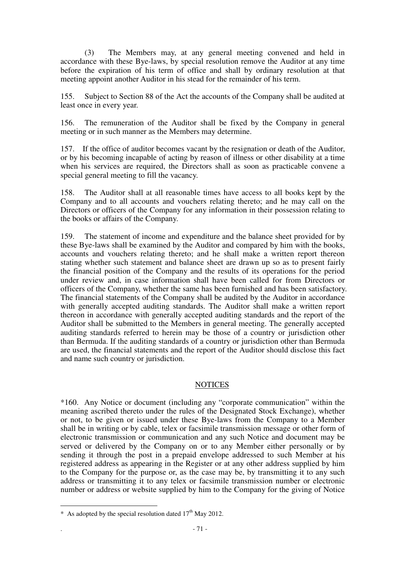(3) The Members may, at any general meeting convened and held in accordance with these Bye-laws, by special resolution remove the Auditor at any time before the expiration of his term of office and shall by ordinary resolution at that meeting appoint another Auditor in his stead for the remainder of his term.

155. Subject to Section 88 of the Act the accounts of the Company shall be audited at least once in every year.

156. The remuneration of the Auditor shall be fixed by the Company in general meeting or in such manner as the Members may determine.

157. If the office of auditor becomes vacant by the resignation or death of the Auditor, or by his becoming incapable of acting by reason of illness or other disability at a time when his services are required, the Directors shall as soon as practicable convene a special general meeting to fill the vacancy.

158. The Auditor shall at all reasonable times have access to all books kept by the Company and to all accounts and vouchers relating thereto; and he may call on the Directors or officers of the Company for any information in their possession relating to the books or affairs of the Company.

159. The statement of income and expenditure and the balance sheet provided for by these Bye-laws shall be examined by the Auditor and compared by him with the books, accounts and vouchers relating thereto; and he shall make a written report thereon stating whether such statement and balance sheet are drawn up so as to present fairly the financial position of the Company and the results of its operations for the period under review and, in case information shall have been called for from Directors or officers of the Company, whether the same has been furnished and has been satisfactory. The financial statements of the Company shall be audited by the Auditor in accordance with generally accepted auditing standards. The Auditor shall make a written report thereon in accordance with generally accepted auditing standards and the report of the Auditor shall be submitted to the Members in general meeting. The generally accepted auditing standards referred to herein may be those of a country or jurisdiction other than Bermuda. If the auditing standards of a country or jurisdiction other than Bermuda are used, the financial statements and the report of the Auditor should disclose this fact and name such country or jurisdiction.

## **NOTICES**

\*160. Any Notice or document (including any "corporate communication" within the meaning ascribed thereto under the rules of the Designated Stock Exchange), whether or not, to be given or issued under these Bye-laws from the Company to a Member shall be in writing or by cable, telex or facsimile transmission message or other form of electronic transmission or communication and any such Notice and document may be served or delivered by the Company on or to any Member either personally or by sending it through the post in a prepaid envelope addressed to such Member at his registered address as appearing in the Register or at any other address supplied by him to the Company for the purpose or, as the case may be, by transmitting it to any such address or transmitting it to any telex or facsimile transmission number or electronic number or address or website supplied by him to the Company for the giving of Notice

 $\overline{a}$ 

<sup>\*</sup> As adopted by the special resolution dated  $17<sup>th</sup>$  May 2012.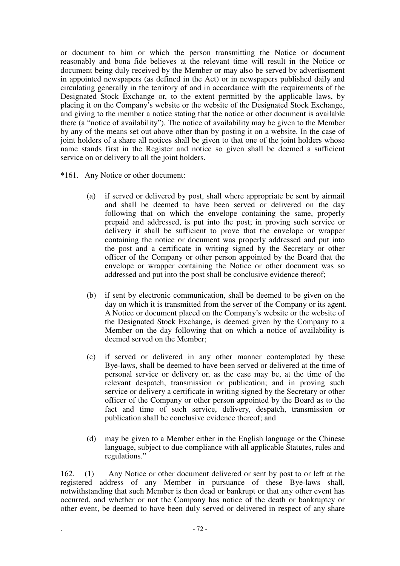or document to him or which the person transmitting the Notice or document reasonably and bona fide believes at the relevant time will result in the Notice or document being duly received by the Member or may also be served by advertisement in appointed newspapers (as defined in the Act) or in newspapers published daily and circulating generally in the territory of and in accordance with the requirements of the Designated Stock Exchange or, to the extent permitted by the applicable laws, by placing it on the Company's website or the website of the Designated Stock Exchange, and giving to the member a notice stating that the notice or other document is available there (a "notice of availability"). The notice of availability may be given to the Member by any of the means set out above other than by posting it on a website. In the case of joint holders of a share all notices shall be given to that one of the joint holders whose name stands first in the Register and notice so given shall be deemed a sufficient service on or delivery to all the joint holders.

\*161. Any Notice or other document:

- (a) if served or delivered by post, shall where appropriate be sent by airmail and shall be deemed to have been served or delivered on the day following that on which the envelope containing the same, properly prepaid and addressed, is put into the post; in proving such service or delivery it shall be sufficient to prove that the envelope or wrapper containing the notice or document was properly addressed and put into the post and a certificate in writing signed by the Secretary or other officer of the Company or other person appointed by the Board that the envelope or wrapper containing the Notice or other document was so addressed and put into the post shall be conclusive evidence thereof;
- (b) if sent by electronic communication, shall be deemed to be given on the day on which it is transmitted from the server of the Company or its agent. A Notice or document placed on the Company's website or the website of the Designated Stock Exchange, is deemed given by the Company to a Member on the day following that on which a notice of availability is deemed served on the Member;
- (c) if served or delivered in any other manner contemplated by these Bye-laws, shall be deemed to have been served or delivered at the time of personal service or delivery or, as the case may be, at the time of the relevant despatch, transmission or publication; and in proving such service or delivery a certificate in writing signed by the Secretary or other officer of the Company or other person appointed by the Board as to the fact and time of such service, delivery, despatch, transmission or publication shall be conclusive evidence thereof; and
- (d) may be given to a Member either in the English language or the Chinese language, subject to due compliance with all applicable Statutes, rules and regulations."

162. (1) Any Notice or other document delivered or sent by post to or left at the registered address of any Member in pursuance of these Bye-laws shall, notwithstanding that such Member is then dead or bankrupt or that any other event has occurred, and whether or not the Company has notice of the death or bankruptcy or other event, be deemed to have been duly served or delivered in respect of any share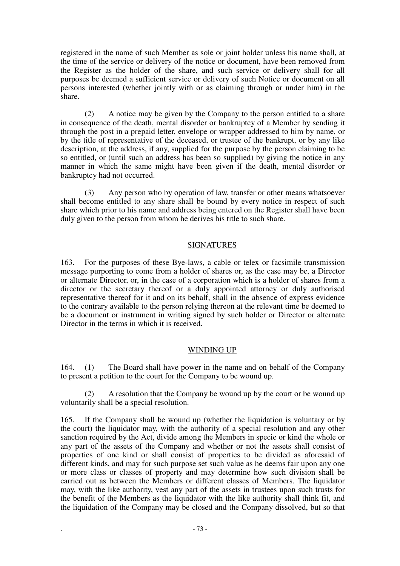registered in the name of such Member as sole or joint holder unless his name shall, at the time of the service or delivery of the notice or document, have been removed from the Register as the holder of the share, and such service or delivery shall for all purposes be deemed a sufficient service or delivery of such Notice or document on all persons interested (whether jointly with or as claiming through or under him) in the share.

(2) A notice may be given by the Company to the person entitled to a share in consequence of the death, mental disorder or bankruptcy of a Member by sending it through the post in a prepaid letter, envelope or wrapper addressed to him by name, or by the title of representative of the deceased, or trustee of the bankrupt, or by any like description, at the address, if any, supplied for the purpose by the person claiming to be so entitled, or (until such an address has been so supplied) by giving the notice in any manner in which the same might have been given if the death, mental disorder or bankruptcy had not occurred.

(3) Any person who by operation of law, transfer or other means whatsoever shall become entitled to any share shall be bound by every notice in respect of such share which prior to his name and address being entered on the Register shall have been duly given to the person from whom he derives his title to such share.

### SIGNATURES

163. For the purposes of these Bye-laws, a cable or telex or facsimile transmission message purporting to come from a holder of shares or, as the case may be, a Director or alternate Director, or, in the case of a corporation which is a holder of shares from a director or the secretary thereof or a duly appointed attorney or duly authorised representative thereof for it and on its behalf, shall in the absence of express evidence to the contrary available to the person relying thereon at the relevant time be deemed to be a document or instrument in writing signed by such holder or Director or alternate Director in the terms in which it is received.

# WINDING UP

164. (1) The Board shall have power in the name and on behalf of the Company to present a petition to the court for the Company to be wound up.

(2) A resolution that the Company be wound up by the court or be wound up voluntarily shall be a special resolution.

165. If the Company shall be wound up (whether the liquidation is voluntary or by the court) the liquidator may, with the authority of a special resolution and any other sanction required by the Act, divide among the Members in specie or kind the whole or any part of the assets of the Company and whether or not the assets shall consist of properties of one kind or shall consist of properties to be divided as aforesaid of different kinds, and may for such purpose set such value as he deems fair upon any one or more class or classes of property and may determine how such division shall be carried out as between the Members or different classes of Members. The liquidator may, with the like authority, vest any part of the assets in trustees upon such trusts for the benefit of the Members as the liquidator with the like authority shall think fit, and the liquidation of the Company may be closed and the Company dissolved, but so that